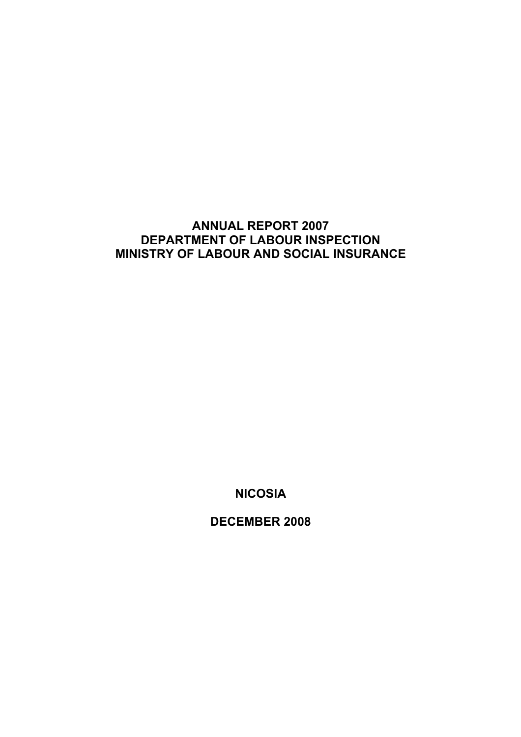# **ANNUAL REPORT 2007 DEPARTMENT OF LABOUR INSPECTION MINISTRY OF LABOUR AND SOCIAL INSURANCE**

**NICOSIA** 

**DECEMBER 2008**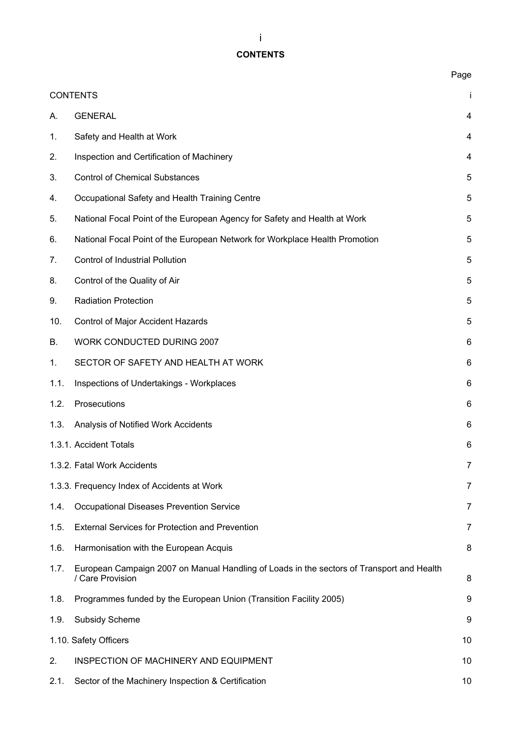# **CONTENTS**

|      |                                                                                                               | Page           |
|------|---------------------------------------------------------------------------------------------------------------|----------------|
|      | <b>CONTENTS</b>                                                                                               | j.             |
| А.   | <b>GENERAL</b>                                                                                                | 4              |
| 1.   | Safety and Health at Work                                                                                     | 4              |
| 2.   | Inspection and Certification of Machinery                                                                     | 4              |
| 3.   | <b>Control of Chemical Substances</b>                                                                         | 5              |
| 4.   | Occupational Safety and Health Training Centre                                                                | 5              |
| 5.   | National Focal Point of the European Agency for Safety and Health at Work                                     | 5              |
| 6.   | National Focal Point of the European Network for Workplace Health Promotion                                   | 5              |
| 7.   | <b>Control of Industrial Pollution</b>                                                                        | 5              |
| 8.   | Control of the Quality of Air                                                                                 | 5              |
| 9.   | <b>Radiation Protection</b>                                                                                   | 5              |
| 10.  | Control of Major Accident Hazards                                                                             | 5              |
| В.   | WORK CONDUCTED DURING 2007                                                                                    | 6              |
| 1.   | SECTOR OF SAFETY AND HEALTH AT WORK                                                                           | 6              |
| 1.1. | Inspections of Undertakings - Workplaces                                                                      | 6              |
| 1.2. | Prosecutions                                                                                                  | 6              |
| 1.3. | Analysis of Notified Work Accidents                                                                           | 6              |
|      | 1.3.1. Accident Totals                                                                                        | 6              |
|      | 1.3.2. Fatal Work Accidents                                                                                   | $\overline{7}$ |
|      | 1.3.3. Frequency Index of Accidents at Work                                                                   | $\overline{7}$ |
| 1.4. | Occupational Diseases Prevention Service                                                                      | 7              |
| 1.5. | <b>External Services for Protection and Prevention</b>                                                        | 7              |
| 1.6. | Harmonisation with the European Acquis                                                                        | 8              |
| 1.7. | European Campaign 2007 on Manual Handling of Loads in the sectors of Transport and Health<br>/ Care Provision | 8              |
| 1.8. | Programmes funded by the European Union (Transition Facility 2005)                                            | 9              |
| 1.9. | <b>Subsidy Scheme</b>                                                                                         | 9              |
|      | 1.10. Safety Officers                                                                                         | 10             |
| 2.   | INSPECTION OF MACHINERY AND EQUIPMENT                                                                         | 10             |
| 2.1. | Sector of the Machinery Inspection & Certification                                                            | 10             |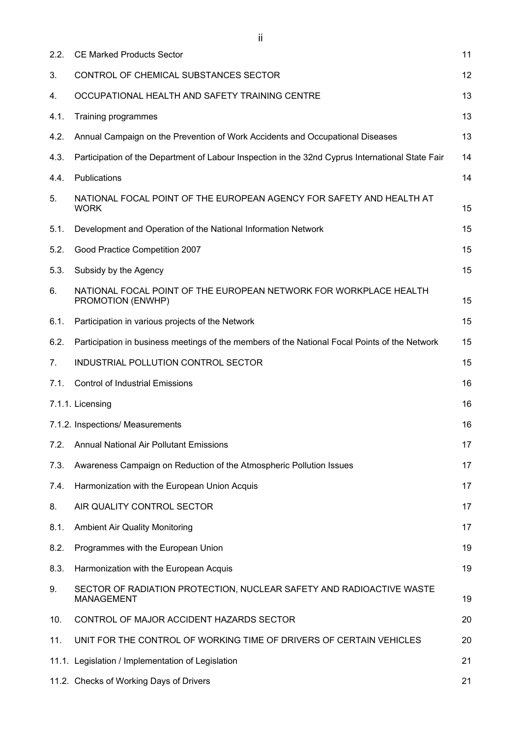| 2.2. | <b>CE Marked Products Sector</b>                                                                 | 11 |
|------|--------------------------------------------------------------------------------------------------|----|
| 3.   | CONTROL OF CHEMICAL SUBSTANCES SECTOR                                                            | 12 |
| 4.   | OCCUPATIONAL HEALTH AND SAFETY TRAINING CENTRE                                                   | 13 |
| 4.1. | Training programmes                                                                              | 13 |
| 4.2. | Annual Campaign on the Prevention of Work Accidents and Occupational Diseases                    | 13 |
| 4.3. | Participation of the Department of Labour Inspection in the 32nd Cyprus International State Fair | 14 |
| 4.4. | Publications                                                                                     | 14 |
| 5.   | NATIONAL FOCAL POINT OF THE EUROPEAN AGENCY FOR SAFETY AND HEALTH AT<br><b>WORK</b>              | 15 |
| 5.1. | Development and Operation of the National Information Network                                    | 15 |
| 5.2. | Good Practice Competition 2007                                                                   | 15 |
| 5.3. | Subsidy by the Agency                                                                            | 15 |
| 6.   | NATIONAL FOCAL POINT OF THE EUROPEAN NETWORK FOR WORKPLACE HEALTH<br>PROMOTION (ENWHP)           | 15 |
| 6.1. | Participation in various projects of the Network                                                 | 15 |
| 6.2. | Participation in business meetings of the members of the National Focal Points of the Network    | 15 |
| 7.   | INDUSTRIAL POLLUTION CONTROL SECTOR                                                              | 15 |
|      | <b>Control of Industrial Emissions</b><br>7.1.                                                   | 16 |
|      | 7.1.1. Licensing                                                                                 | 16 |
|      | 7.1.2. Inspections/ Measurements                                                                 | 16 |
| 7.2. | <b>Annual National Air Pollutant Emissions</b>                                                   | 17 |
| 7.3. | Awareness Campaign on Reduction of the Atmospheric Pollution Issues                              | 17 |
| 7.4. | Harmonization with the European Union Acquis                                                     | 17 |
| 8.   | AIR QUALITY CONTROL SECTOR                                                                       | 17 |
| 8.1. | <b>Ambient Air Quality Monitoring</b>                                                            | 17 |
| 8.2. | Programmes with the European Union                                                               | 19 |
| 8.3. | Harmonization with the European Acquis                                                           | 19 |
| 9.   | SECTOR OF RADIATION PROTECTION, NUCLEAR SAFETY AND RADIOACTIVE WASTE<br><b>MANAGEMENT</b>        | 19 |
| 10.  | CONTROL OF MAJOR ACCIDENT HAZARDS SECTOR                                                         | 20 |
| 11.  | UNIT FOR THE CONTROL OF WORKING TIME OF DRIVERS OF CERTAIN VEHICLES                              | 20 |
|      | 11.1. Legislation / Implementation of Legislation                                                | 21 |
|      | 11.2. Checks of Working Days of Drivers                                                          | 21 |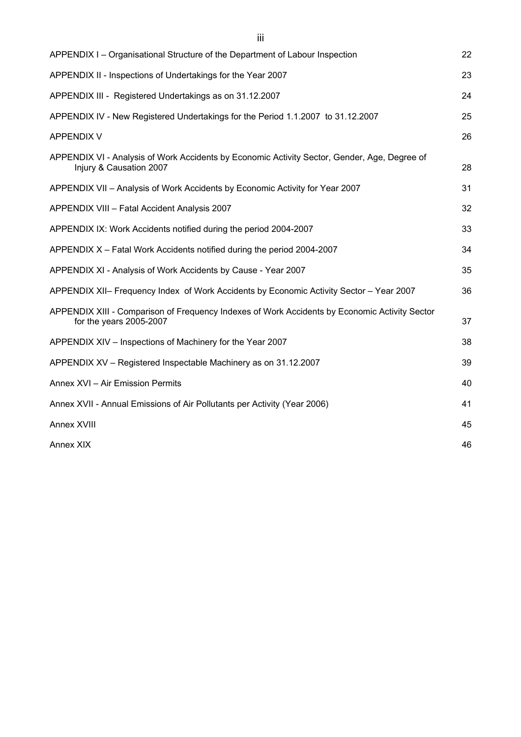| APPENDIX I – Organisational Structure of the Department of Labour Inspection                                             | 22 |
|--------------------------------------------------------------------------------------------------------------------------|----|
| APPENDIX II - Inspections of Undertakings for the Year 2007                                                              | 23 |
| APPENDIX III - Registered Undertakings as on 31.12.2007                                                                  | 24 |
| APPENDIX IV - New Registered Undertakings for the Period 1.1.2007 to 31.12.2007                                          | 25 |
| <b>APPENDIX V</b>                                                                                                        | 26 |
| APPENDIX VI - Analysis of Work Accidents by Economic Activity Sector, Gender, Age, Degree of<br>Injury & Causation 2007  | 28 |
| APPENDIX VII - Analysis of Work Accidents by Economic Activity for Year 2007                                             | 31 |
| APPENDIX VIII - Fatal Accident Analysis 2007                                                                             | 32 |
| APPENDIX IX: Work Accidents notified during the period 2004-2007                                                         | 33 |
| APPENDIX X - Fatal Work Accidents notified during the period 2004-2007                                                   | 34 |
| APPENDIX XI - Analysis of Work Accidents by Cause - Year 2007                                                            | 35 |
| APPENDIX XII- Frequency Index of Work Accidents by Economic Activity Sector - Year 2007                                  | 36 |
| APPENDIX XIII - Comparison of Frequency Indexes of Work Accidents by Economic Activity Sector<br>for the years 2005-2007 | 37 |
| APPENDIX XIV - Inspections of Machinery for the Year 2007                                                                | 38 |
| APPENDIX XV - Registered Inspectable Machinery as on 31.12.2007                                                          | 39 |
| Annex XVI - Air Emission Permits                                                                                         | 40 |
| Annex XVII - Annual Emissions of Air Pollutants per Activity (Year 2006)                                                 | 41 |
| Annex XVIII                                                                                                              | 45 |
| Annex XIX                                                                                                                | 46 |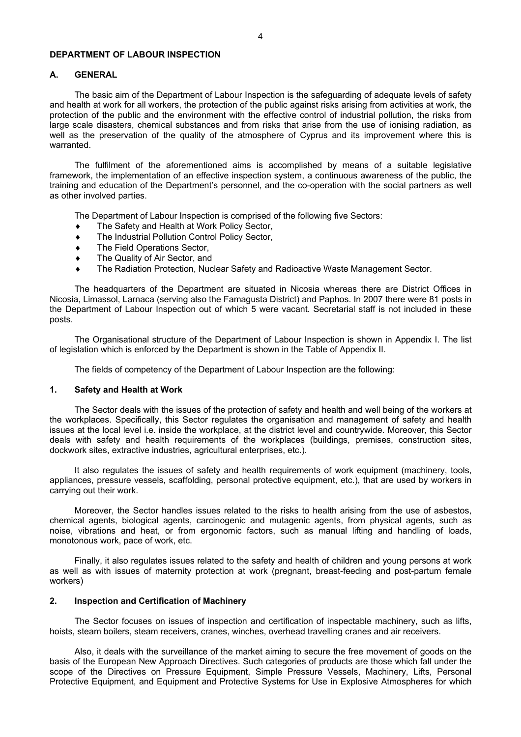## **DEPARTMENT OF LABOUR INSPECTION**

## **Α. GENERAL**

The basic aim of the Department of Labour Inspection is the safeguarding of adequate levels of safety and health at work for all workers, the protection of the public against risks arising from activities at work, the protection of the public and the environment with the effective control of industrial pollution, the risks from large scale disasters, chemical substances and from risks that arise from the use of ionising radiation, as well as the preservation of the quality of the atmosphere of Cyprus and its improvement where this is warranted.

The fulfilment of the aforementioned aims is accomplished by means of a suitable legislative framework, the implementation of an effective inspection system, a continuous awareness of the public, the training and education of the Department's personnel, and the co-operation with the social partners as well as other involved parties.

The Department of Labour Inspection is comprised of the following five Sectors:

- ♦ The Safety and Health at Work Policy Sector,
- ♦ The Industrial Pollution Control Policy Sector,
- ♦ The Field Operations Sector,
- ♦ The Quality of Air Sector, and
- ♦ The Radiation Protection, Nuclear Safety and Radioactive Waste Management Sector.

The headquarters of the Department are situated in Nicosia whereas there are District Offices in Nicosia, Limassol, Larnaca (serving also the Famagusta District) and Paphos. In 2007 there were 81 posts in the Department of Labour Inspection out of which 5 were vacant. Secretarial staff is not included in these posts.

The Organisational structure of the Department of Labour Inspection is shown in Appendix I. The list of legislation which is enforced by the Department is shown in the Table of Appendix II.

The fields of competency of the Department of Labour Inspection are the following:

## **1. Safety and Health at Work**

The Sector deals with the issues of the protection of safety and health and well being of the workers at the workplaces. Specifically, this Sector regulates the organisation and management of safety and health issues at the local level i.e. inside the workplace, at the district level and countrywide. Moreover, this Sector deals with safety and health requirements of the workplaces (buildings, premises, construction sites, dockwork sites, extractive industries, agricultural enterprises, etc.).

It also regulates the issues of safety and health requirements of work equipment (machinery, tools, appliances, pressure vessels, scaffolding, personal protective equipment, etc.), that are used by workers in carrying out their work.

Moreover, the Sector handles issues related to the risks to health arising from the use of asbestos, chemical agents, biological agents, carcinogenic and mutagenic agents, from physical agents, such as noise, vibrations and heat, or from ergonomic factors, such as manual lifting and handling of loads, monotonous work, pace of work, etc.

Finally, it also regulates issues related to the safety and health of children and young persons at work as well as with issues of maternity protection at work (pregnant, breast-feeding and post-partum female workers)

### **2. Inspection and Certification of Machinery**

The Sector focuses on issues of inspection and certification of inspectable machinery, such as lifts, hoists, steam boilers, steam receivers, cranes, winches, overhead travelling cranes and air receivers.

Also, it deals with the surveillance of the market aiming to secure the free movement of goods on the basis of the European New Approach Directives. Such categories of products are those which fall under the scope of the Directives on Pressure Equipment, Simple Pressure Vessels, Machinery, Lifts, Personal Protective Equipment, and Equipment and Protective Systems for Use in Explosive Atmospheres for which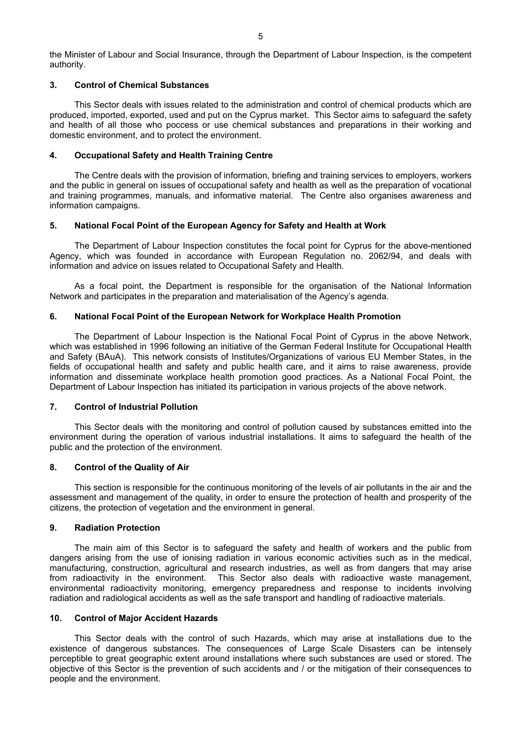the Minister of Labour and Social Insurance, through the Department of Labour Inspection, is the competent authority.

## **3. Control of Chemical Substances**

This Sector deals with issues related to the administration and control of chemical products which are produced, imported, exported, used and put on the Cyprus market. This Sector aims to safeguard the safety and health of all those who poccess or use chemical substances and preparations in their working and domestic environment, and to protect the environment.

## **4. Occupational Safety and Health Training Centre**

The Centre deals with the provision of information, briefing and training services to employers, workers and the public in general on issues of occupational safety and health as well as the preparation of vocational and training programmes, manuals, and informative material. The Centre also organises awareness and information campaigns.

## **5. National Focal Point of the European Agency for Safety and Health at Work**

The Department of Labour Inspection constitutes the focal point for Cyprus for the above-mentioned Agency, which was founded in accordance with European Regulation no. 2062/94, and deals with information and advice on issues related to Occupational Safety and Health.

As a focal point, the Department is responsible for the organisation of the National Information Network and participates in the preparation and materialisation of the Agency's agenda.

## **6. National Focal Point of the European Network for Workplace Health Promotion**

The Department of Labour Inspection is the National Focal Point of Cyprus in the above Network, which was established in 1996 following an initiative of the German Federal Institute for Occupational Health and Safety (BAuA). This network consists of Institutes/Organizations of various EU Member States, in the fields of occupational health and safety and public health care, and it aims to raise awareness, provide information and disseminate workplace health promotion good practices. As a National Focal Point, the Department of Labour Inspection has initiated its participation in various projects of the above network.

## **7. Control of Industrial Pollution**

This Sector deals with the monitoring and control of pollution caused by substances emitted into the environment during the operation of various industrial installations. It aims to safeguard the health of the public and the protection of the environment.

## **8. Control of the Quality of Air**

This section is responsible for the continuous monitoring of the levels of air pollutants in the air and the assessment and management of the quality, in order to ensure the protection of health and prosperity of the citizens, the protection of vegetation and the environment in general.

## **9. Radiation Protection**

The main aim of this Sector is to safeguard the safety and health of workers and the public from dangers arising from the use of ionising radiation in various economic activities such as in the medical, manufacturing, construction, agricultural and research industries, as well as from dangers that may arise from radioactivity in the environment. This Sector also deals with radioactive waste management, environmental radioactivity monitoring, emergency preparedness and response to incidents involving radiation and radiological accidents as well as the safe transport and handling of radioactive materials.

## **10. Control of Major Accident Hazards**

This Sector deals with the control of such Hazards, which may arise at installations due to the existence of dangerous substances. The consequences of Large Scale Disasters can be intensely perceptible to great geographic extent around installations where such substances are used or stored. The objective of this Sector is the prevention of such accidents and / or the mitigation of their consequences to people and the environment.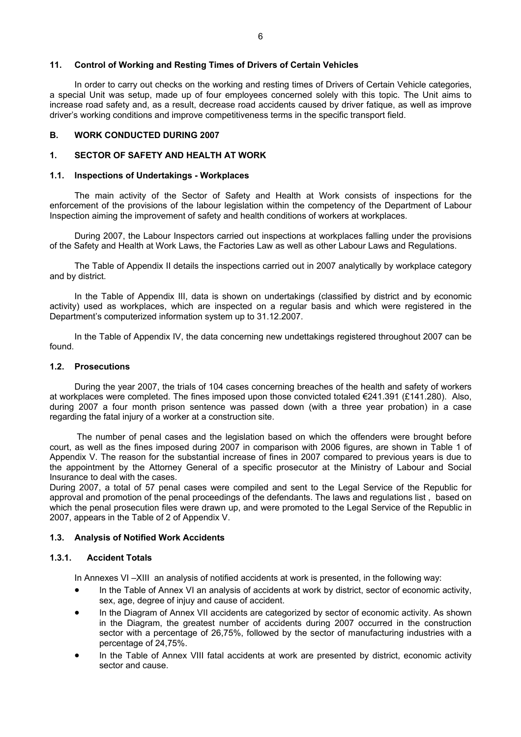## **11. Control of Working and Resting Times of Drivers of Certain Vehicles**

In order to carry out checks on the working and resting times of Drivers of Certain Vehicle categories, a special Unit was setup, made up of four employees concerned solely with this topic. The Unit aims to increase road safety and, as a result, decrease road accidents caused by driver fatique, as well as improve driver's working conditions and improve competitiveness terms in the specific transport field.

## **B. WORK CONDUCTED DURING 2007**

## **1. SECTOR OF SAFETY AND HEALTH AT WORK**

## **1.1. Inspections of Undertakings - Workplaces**

The main activity of the Sector of Safety and Health at Work consists of inspections for the enforcement of the provisions of the labour legislation within the competency of the Department of Labour Inspection aiming the improvement of safety and health conditions of workers at workplaces.

During 2007, the Labour Inspectors carried out inspections at workplaces falling under the provisions of the Safety and Health at Work Laws, the Factories Law as well as other Labour Laws and Regulations.

The Table of Appendix II details the inspections carried out in 2007 analytically by workplace category and by district.

In the Table of Appendix III, data is shown on undertakings (classified by district and by economic activity) used as workplaces, which are inspected on a regular basis and which were registered in the Department's computerized information system up to 31.12.2007.

In the Table of Appendix IV, the data concerning new undettakings registered throughout 2007 can be found.

## **1.2. Prosecutions**

During the year 2007, the trials of 104 cases concerning breaches of the health and safety of workers at workplaces were completed. The fines imposed upon those convicted totaled €241.391 (£141.280). Also, during 2007 a four month prison sentence was passed down (with a three year probation) in a case regarding the fatal injury of a worker at a construction site.

 The number of penal cases and the legislation based on which the offenders were brought before court, as well as the fines imposed during 2007 in comparison with 2006 figures, are shown in Table 1 of Appendix V. The reason for the substantial increase of fines in 2007 compared to previous years is due to the appointment by the Attorney General of a specific prosecutor at the Ministry of Labour and Social Insurance to deal with the cases.

During 2007, a total of 57 penal cases were compiled and sent to the Legal Service of the Republic for approval and promotion of the penal proceedings of the defendants. The laws and regulations list , based on which the penal prosecution files were drawn up, and were promoted to the Legal Service of the Republic in 2007, appears in the Table of 2 of Appendix V.

## **1.3. Analysis of Notified Work Accidents**

## **1.3.1. Accident Totals**

In Annexes VI-XIII an analysis of notified accidents at work is presented, in the following way:

- In the Table of Annex VI an analysis of accidents at work by district, sector of economic activity, sex, age, degree of injuy and cause of accident.
- In the Diagram of Annex VII accidents are categorized by sector of economic activity. As shown in the Diagram, the greatest number of accidents during 2007 occurred in the construction sector with a percentage of 26,75%, followed by the sector of manufacturing industries with a percentage of 24,75%.
- In the Table of Annex VIII fatal accidents at work are presented by district, economic activity sector and cause.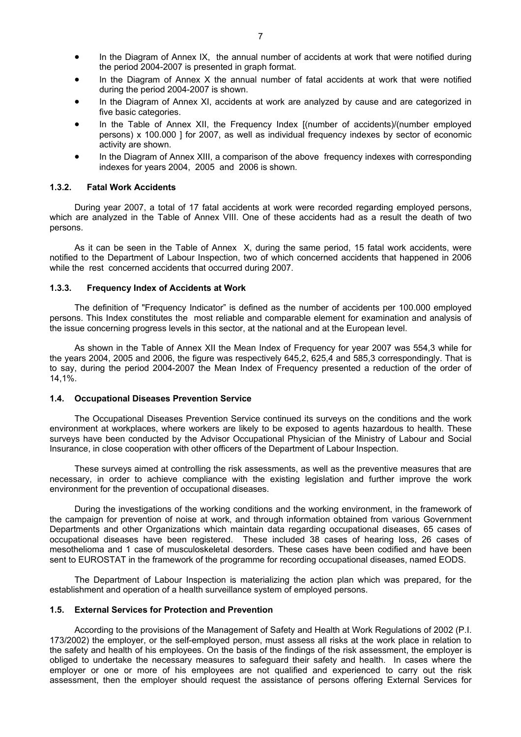- In the Diagram of Annex IX, the annual number of accidents at work that were notified during the period 2004-2007 is presented in graph format.
- In the Diagram of Annex X the annual number of fatal accidents at work that were notified during the period 2004-2007 is shown.
- In the Diagram of Annex XI, accidents at work are analyzed by cause and are categorized in five basic categories.
- In the Table of Annex XII, the Frequency Index [(number of accidents)/(number employed persons) x 100.000 ] for 2007, as well as individual frequency indexes by sector of economic activity are shown.
- In the Diagram of Annex XIII, a comparison of the above frequency indexes with corresponding indexes for years 2004, 2005 and 2006 is shown.

## **1.3.2. Fatal Work Accidents**

During year 2007, a total of 17 fatal accidents at work were recorded regarding employed persons, which are analyzed in the Table of Annex VIII. One of these accidents had as a result the death of two persons.

As it can be seen in the Table of Annex X, during the same period, 15 fatal work accidents, were notified to the Department of Labour Inspection, two of which concerned accidents that happened in 2006 while the rest concerned accidents that occurred during 2007.

#### **1.3.3. Frequency Index of Accidents at Work**

The definition of "Frequency Indicator" is defined as the number of accidents per 100.000 employed persons. This Index constitutes the most reliable and comparable element for examination and analysis of the issue concerning progress levels in this sector, at the national and at the European level.

As shown in the Table of Annex XII the Mean Index of Frequency for year 2007 was 554,3 while for the years 2004, 2005 and 2006, the figure was respectively 645,2, 625,4 and 585,3 correspondingly. That is to say, during the period 2004-2007 the Mean Index of Frequency presented a reduction of the order of 14,1%.

## **1.4. Occupational Diseases Prevention Service**

The Occupational Diseases Prevention Service continued its surveys on the conditions and the work environment at workplaces, where workers are likely to be exposed to agents hazardous to health. These surveys have been conducted by the Advisor Occupational Physician of the Ministry of Labour and Social Insurance, in close cooperation with other officers of the Department of Labour Inspection.

These surveys aimed at controlling the risk assessments, as well as the preventive measures that are necessary, in order to achieve compliance with the existing legislation and further improve the work environment for the prevention of occupational diseases.

During the investigations of the working conditions and the working environment, in the framework of the campaign for prevention of noise at work, and through information obtained from various Government Departments and other Organizations which maintain data regarding occupational diseases, 65 cases of occupational diseases have been registered. These included 38 cases of hearing loss, 26 cases of mesothelioma and 1 case of musculoskeletal desorders. These cases have been codified and have been sent to EUROSTAT in the framework of the programme for recording occupational diseases, named EODS.

The Department of Labour Inspection is materializing the action plan which was prepared, for the establishment and operation of a health surveillance system of employed persons.

## **1.5. External Services for Protection and Prevention**

According to the provisions of the Management of Safety and Health at Work Regulations of 2002 (P.I. 173/2002) the employer, or the self-employed person, must assess all risks at the work place in relation to the safety and health of his employees. On the basis of the findings of the risk assessment, the employer is obliged to undertake the necessary measures to safeguard their safety and health. In cases where the employer or one or more of his employees are not qualified and experienced to carry out the risk assessment, then the employer should request the assistance of persons offering External Services for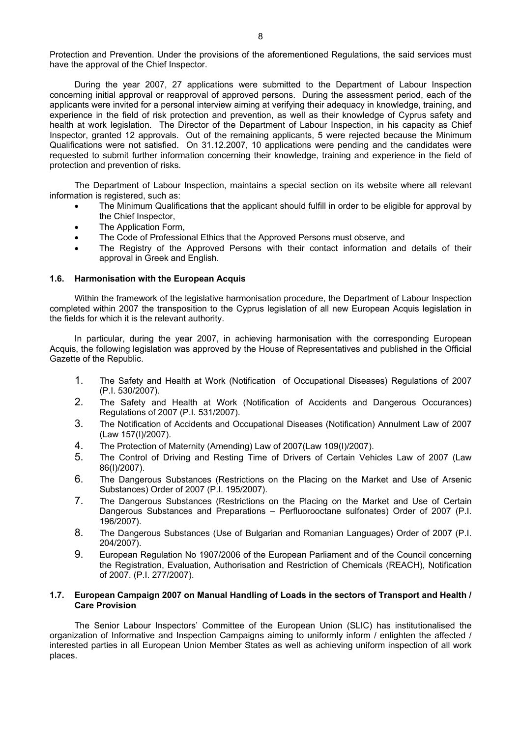Protection and Prevention. Under the provisions of the aforementioned Regulations, the said services must have the approval of the Chief Inspector.

During the year 2007, 27 applications were submitted to the Department of Labour Inspection concerning initial approval or reapproval of approved persons. During the assessment period, each of the applicants were invited for a personal interview aiming at verifying their adequacy in knowledge, training, and experience in the field of risk protection and prevention, as well as their knowledge of Cyprus safety and health at work legislation. The Director of the Department of Labour Inspection, in his capacity as Chief Inspector, granted 12 approvals. Out of the remaining applicants, 5 were rejected because the Minimum Qualifications were not satisfied. On 31.12.2007, 10 applications were pending and the candidates were requested to submit further information concerning their knowledge, training and experience in the field of protection and prevention of risks.

The Department of Labour Inspection, maintains a special section on its website where all relevant information is registered, such as:

- The Minimum Qualifications that the applicant should fulfill in order to be eligible for approval by the Chief Inspector,
- The Application Form.
- The Code of Professional Ethics that the Approved Persons must observe, and
- The Registry of the Approved Persons with their contact information and details of their approval in Greek and English.

## **1.6. Harmonisation with the European Acquis**

Within the framework of the legislative harmonisation procedure, the Department of Labour Inspection completed within 2007 the transposition to the Cyprus legislation of all new European Acquis legislation in the fields for which it is the relevant authority.

In particular, during the year 2007, in achieving harmonisation with the corresponding European Acquis, the following legislation was approved by the House of Representatives and published in the Official Gazette of the Republic.

- 1. The Safety and Health at Work (Notification of Occupational Diseases) Regulations of 2007 (P.I. 530/2007).
- 2. The Safety and Health at Work (Notification of Accidents and Dangerous Occurances) Regulations of 2007 (P.I. 531/2007).
- 3. The Notification of Accidents and Occupational Diseases (Notification) Annulment Law of 2007 (Law 157(I)/2007).
- 4. The Protection of Maternity (Amending) Law of 2007(Law 109(I)/2007).
- 5. The Control of Driving and Resting Time of Drivers of Certain Vehicles Law of 2007 (Law 86(I)/2007).
- 6. The Dangerous Substances (Restrictions on the Placing on the Market and Use of Arsenic Substances) Order of 2007 (P.I. 195/2007).
- 7. The Dangerous Substances (Restrictions on the Placing on the Market and Use of Certain Dangerous Substances and Preparations – Perfluorooctane sulfonates) Order of 2007 (P.I. 196/2007).
- 8. The Dangerous Substances (Use of Bulgarian and Romanian Languages) Order of 2007 (P.I. 204/2007).
- 9. European Regulation No 1907/2006 of the European Parliament and of the Council concerning the Registration, Evaluation, Authorisation and Restriction of Chemicals (REACH), Notification of 2007. (P.I. 277/2007).

## **1.7. European Campaign 2007 on Manual Handling of Loads in the sectors of Transport and Health / Care Provision**

The Senior Labour Inspectors' Committee of the European Union (SLIC) has institutionalised the organization of Informative and Inspection Campaigns aiming to uniformly inform / enlighten the affected / interested parties in all European Union Member States as well as achieving uniform inspection of all work places.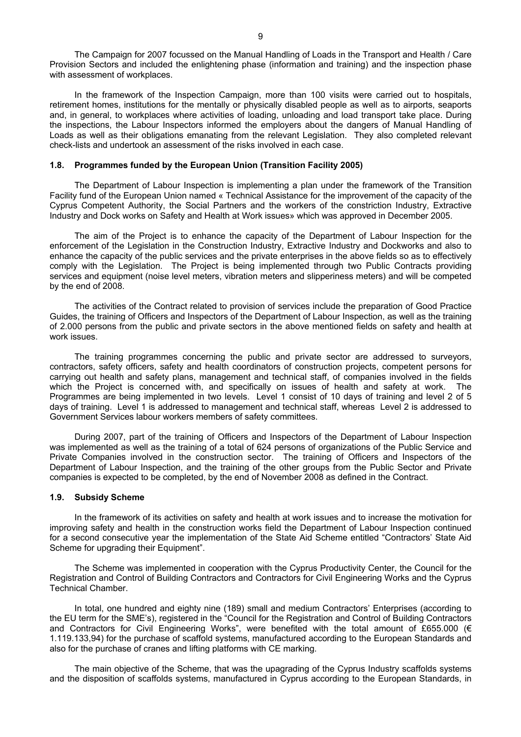The Campaign for 2007 focussed on the Manual Handling of Loads in the Transport and Health / Care Provision Sectors and included the enlightening phase (information and training) and the inspection phase with assessment of workplaces.

In the framework of the Inspection Campaign, more than 100 visits were carried out to hospitals, retirement homes, institutions for the mentally or physically disabled people as well as to airports, seaports and, in general, to workplaces where activities of loading, unloading and load transport take place. During the inspections, the Labour Inspectors informed the employers about the dangers of Manual Handling of Loads as well as their obligations emanating from the relevant Legislation. They also completed relevant check-lists and undertook an assessment of the risks involved in each case.

## **1.8. Programmes funded by the European Union (Transition Facility 2005)**

The Department of Labour Inspection is implementing a plan under the framework of the Transition Facility fund of the European Union named « Technical Assistance for the improvement of the capacity of the Cyprus Competent Authority, the Social Partners and the workers of the constriction Industry, Extractive Industry and Dock works on Safety and Health at Work issues» which was approved in December 2005.

The aim of the Project is to enhance the capacity of the Department of Labour Inspection for the enforcement of the Legislation in the Construction Industry, Extractive Industry and Dockworks and also to enhance the capacity of the public services and the private enterprises in the above fields so as to effectively comply with the Legislation. The Project is being implemented through two Public Contracts providing services and equipment (noise level meters, vibration meters and slipperiness meters) and will be competed by the end of 2008.

The activities of the Contract related to provision of services include the preparation of Good Practice Guides, the training of Officers and Inspectors of the Department of Labour Inspection, as well as the training of 2.000 persons from the public and private sectors in the above mentioned fields on safety and health at work issues.

The training programmes concerning the public and private sector are addressed to surveyors, contractors, safety officers, safety and health coordinators of construction projects, competent persons for carrying out health and safety plans, management and technical staff, of companies involved in the fields which the Project is concerned with, and specifically on issues of health and safety at work. The Programmes are being implemented in two levels. Level 1 consist of 10 days of training and level 2 of 5 days of training. Level 1 is addressed to management and technical staff, whereas Level 2 is addressed to Government Services labour workers members of safety committees.

During 2007, part of the training of Officers and Inspectors of the Department of Labour Inspection was implemented as well as the training of a total of 624 persons of organizations of the Public Service and Private Companies involved in the construction sector. The training of Officers and Inspectors of the Department of Labour Inspection, and the training of the other groups from the Public Sector and Private companies is expected to be completed, by the end of November 2008 as defined in the Contract.

### **1.9. Subsidy Scheme**

In the framework of its activities on safety and health at work issues and to increase the motivation for improving safety and health in the construction works field the Department of Labour Inspection continued for a second consecutive year the implementation of the State Aid Scheme entitled "Contractors' State Aid Scheme for upgrading their Equipment".

The Scheme was implemented in cooperation with the Cyprus Productivity Center, the Council for the Registration and Control of Building Contractors and Contractors for Civil Engineering Works and the Cyprus Technical Chamber.

In total, one hundred and eighty nine (189) small and medium Contractors' Enterprises (according to the EU term for the SME's), registered in the "Council for the Registration and Control of Building Contractors and Contractors for Civil Engineering Works", were benefited with the total amount of £655.000 ( $\epsilon$ 1.119.133,94) for the purchase of scaffold systems, manufactured according to the European Standards and also for the purchase of cranes and lifting platforms with CE marking.

The main objective of the Scheme, that was the upagrading of the Cyprus Industry scaffolds systems and the disposition of scaffolds systems, manufactured in Cyprus according to the European Standards, in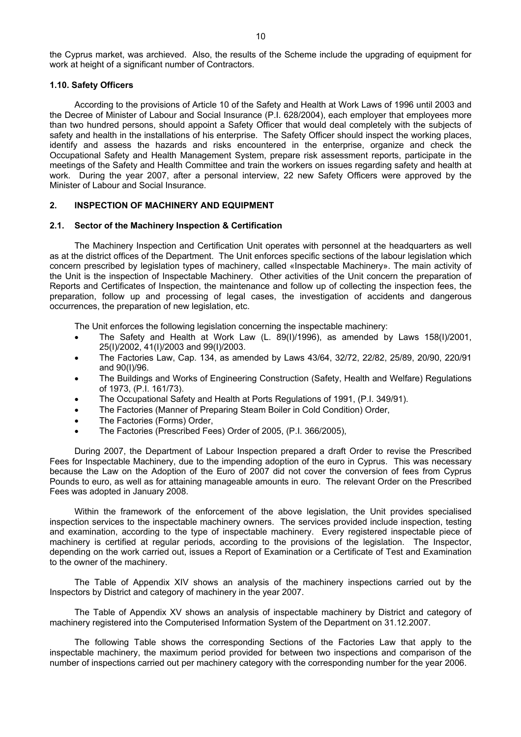the Cyprus market, was archieved. Also, the results of the Scheme include the upgrading of equipment for work at height of a significant number of Contractors.

## **1.10. Safety Officers**

According to the provisions of Article 10 of the Safety and Health at Work Laws of 1996 until 2003 and the Decree of Minister of Labour and Social Insurance (P.I. 628/2004), each employer that employees more than two hundred persons, should appoint a Safety Officer that would deal completely with the subjects of safety and health in the installations of his enterprise. The Safety Officer should inspect the working places, identify and assess the hazards and risks encountered in the enterprise, organize and check the Occupational Safety and Health Management System, prepare risk assessment reports, participate in the meetings of the Safety and Health Committee and train the workers on issues regarding safety and health at work. During the year 2007, after a personal interview, 22 new Safety Officers were approved by the Minister of Labour and Social Insurance.

## **2. INSPECTION OF MACHINERY AND EQUIPMENT**

#### **2.1. Sector of the Machinery Inspection & Certification**

The Machinery Inspection and Certification Unit operates with personnel at the headquarters as well as at the district offices of the Department. The Unit enforces specific sections of the labour legislation which concern prescribed by legislation types of machinery, called «Inspectable Machinery». The main activity of the Unit is the inspection of Inspectable Machinery. Other activities of the Unit concern the preparation of Reports and Certificates of Inspection, the maintenance and follow up of collecting the inspection fees, the preparation, follow up and processing of legal cases, the investigation of accidents and dangerous occurrences, the preparation of new legislation, etc.

The Unit enforces the following legislation concerning the inspectable machinery:

- The Safety and Health at Work Law (L. 89(I)/1996), as amended by Laws 158(I)/2001, 25(I)/2002, 41(I)/2003 and 99(I)/2003.
- The Factories Law, Cap. 134, as amended by Laws 43/64, 32/72, 22/82, 25/89, 20/90, 220/91 and 90(I)/96.
- The Buildings and Works of Engineering Construction (Safety, Health and Welfare) Regulations of 1973, (P.I. 161/73).
- The Occupational Safety and Health at Ports Regulations of 1991, (P.I. 349/91).
- The Factories (Manner of Preparing Steam Boiler in Cold Condition) Order,
- The Factories (Forms) Order,
- The Factories (Prescribed Fees) Order of 2005, (P.I. 366/2005),

During 2007, the Department of Labour Inspection prepared a draft Order to revise the Prescribed Fees for Inspectable Machinery, due to the impending adoption of the euro in Cyprus. This was necessary because the Law on the Adoption of the Euro of 2007 did not cover the conversion of fees from Cyprus Pounds to euro, as well as for attaining manageable amounts in euro. The relevant Order on the Prescribed Fees was adopted in January 2008.

Within the framework of the enforcement of the above legislation, the Unit provides specialised inspection services to the inspectable machinery owners. The services provided include inspection, testing and examination, according to the type of inspectable machinery. Every registered inspectable piece of machinery is certified at regular periods, according to the provisions of the legislation. The Inspector, depending on the work carried out, issues a Report of Examination or a Certificate of Test and Examination to the owner of the machinery.

The Table of Appendix XIV shows an analysis of the machinery inspections carried out by the Inspectors by District and category of machinery in the year 2007.

The Table of Appendix XV shows an analysis of inspectable machinery by District and category of machinery registered into the Computerised Information System of the Department on 31.12.2007.

The following Table shows the corresponding Sections of the Factories Law that apply to the inspectable machinery, the maximum period provided for between two inspections and comparison of the number of inspections carried out per machinery category with the corresponding number for the year 2006.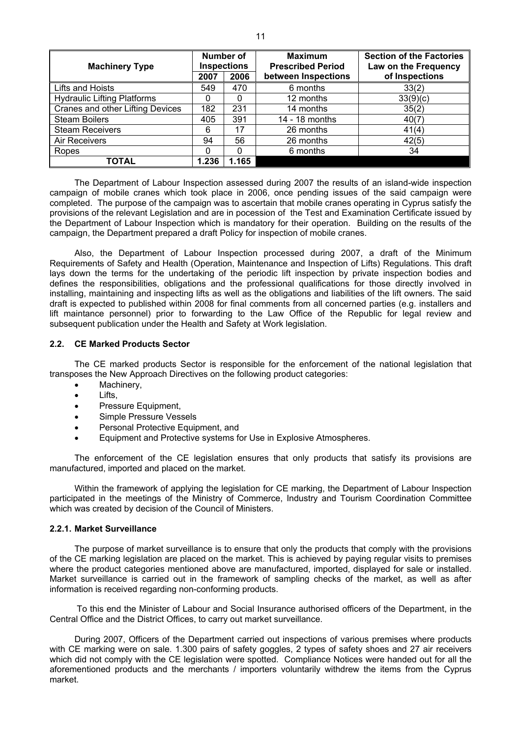| <b>Machinery Type</b>                   |       | Number of<br><b>Inspections</b> | <b>Maximum</b><br><b>Prescribed Period</b> | <b>Section of the Factories</b><br>Law on the Frequency |
|-----------------------------------------|-------|---------------------------------|--------------------------------------------|---------------------------------------------------------|
|                                         | 2007  | 2006                            | between Inspections                        | of Inspections                                          |
| Lifts and Hoists                        | 549   | 470                             | 6 months                                   | 33(2)                                                   |
| <b>Hydraulic Lifting Platforms</b>      | 0     | 0                               | 12 months                                  | 33(9)(c)                                                |
| <b>Cranes and other Lifting Devices</b> | 182   | 231                             | 14 months                                  | 35(2)                                                   |
| <b>Steam Boilers</b>                    | 405   | 391                             | 14 - 18 months                             | 40(7)                                                   |
| <b>Steam Receivers</b>                  | 6     | 17                              | 26 months                                  | 41(4)                                                   |
| Air Receivers                           | 94    | 56                              | 26 months                                  | 42(5)                                                   |
| Ropes                                   |       |                                 | 6 months                                   | 34                                                      |
| <b>TOTAL</b>                            | 1.236 | 1.165                           |                                            |                                                         |

The Department of Labour Inspection assessed during 2007 the results of an island-wide inspection campaign of mobile cranes which took place in 2006, once pending issues of the said campaign were completed. The purpose of the campaign was to ascertain that mobile cranes operating in Cyprus satisfy the provisions of the relevant Legislation and are in pocession of the Test and Examination Certificate issued by the Department of Labour Inspection which is mandatory for their operation. Building on the results of the campaign, the Department prepared a draft Policy for inspection of mobile cranes.

Also, the Department of Labour Inspection processed during 2007, a draft of the Minimum Requirements of Safety and Health (Operation, Maintenance and Inspection of Lifts) Regulations. This draft lays down the terms for the undertaking of the periodic lift inspection by private inspection bodies and defines the responsibilities, obligations and the professional qualifications for those directly involved in installing, maintaining and inspecting lifts as well as the obligations and liabilities of the lift owners. The said draft is expected to published within 2008 for final comments from all concerned parties (e.g. installers and lift maintance personnel) prior to forwarding to the Law Office of the Republic for legal review and subsequent publication under the Health and Safety at Work legislation.

### **2.2. CE Marked Products Sector**

The CE marked products Sector is responsible for the enforcement of the national legislation that transposes the New Approach Directives on the following product categories:

- Machinery,
- Lifts,
- Pressure Equipment,
- Simple Pressure Vessels
- Personal Protective Equipment, and
- Equipment and Protective systems for Use in Explosive Atmospheres.

The enforcement of the CE legislation ensures that only products that satisfy its provisions are manufactured, imported and placed on the market.

Within the framework of applying the legislation for CE marking, the Department of Labour Inspection participated in the meetings of the Ministry of Commerce, Industry and Tourism Coordination Committee which was created by decision of the Council of Ministers.

#### **2.2.1. Market Surveillance**

The purpose of market surveillance is to ensure that only the products that comply with the provisions of the CE marking legislation are placed on the market. This is achieved by paying regular visits to premises where the product categories mentioned above are manufactured, imported, displayed for sale or installed. Market surveillance is carried out in the framework of sampling checks of the market, as well as after information is received regarding non-conforming products.

 To this end the Minister of Labour and Social Insurance authorised officers of the Department, in the Central Office and the District Offices, to carry out market surveillance.

During 2007, Officers of the Department carried out inspections of various premises where products with CE marking were on sale. 1.300 pairs of safety goggles, 2 types of safety shoes and 27 air receivers which did not comply with the CE legislation were spotted. Compliance Notices were handed out for all the aforementioned products and the merchants / importers voluntarily withdrew the items from the Cyprus market.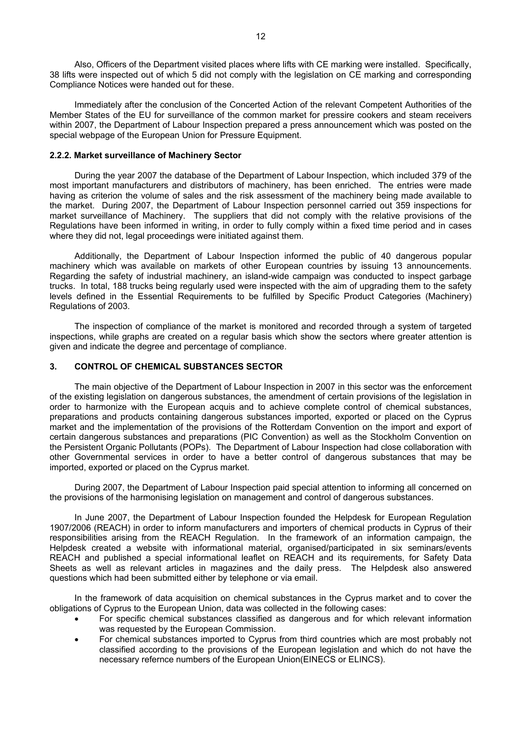Also, Officers of the Department visited places where lifts with CE marking were installed. Specifically, 38 lifts were inspected out of which 5 did not comply with the legislation on CE marking and corresponding Compliance Notices were handed out for these.

Immediately after the conclusion of the Concerted Action of the relevant Competent Authorities of the Member States of the EU for surveillance of the common market for pressire cookers and steam receivers within 2007, the Department of Labour Inspection prepared a press announcement which was posted on the special webpage of the European Union for Pressure Equipment.

## **2.2.2. Market surveillance of Machinery Sector**

During the year 2007 the database of the Department of Labour Inspection, which included 379 of the most important manufacturers and distributors of machinery, has been enriched. The entries were made having as criterion the volume of sales and the risk assessment of the machinery being made available to the market. During 2007, the Department of Labour Inspection personnel carried out 359 inspections for market surveillance of Machinery. The suppliers that did not comply with the relative provisions of the Regulations have been informed in writing, in order to fully comply within a fixed time period and in cases where they did not, legal proceedings were initiated against them.

Additionally, the Department of Labour Inspection informed the public of 40 dangerous popular machinery which was available on markets of other European countries by issuing 13 announcements. Regarding the safety of industrial machinery, an island-wide campaign was conducted to inspect garbage trucks. In total, 188 trucks being regularly used were inspected with the aim of upgrading them to the safety levels defined in the Essential Requirements to be fulfilled by Specific Product Categories (Machinery) Regulations of 2003.

The inspection of compliance of the market is monitored and recorded through a system of targeted inspections, while graphs are created on a regular basis which show the sectors where greater attention is given and indicate the degree and percentage of compliance.

#### **3. CONTROL OF CHEMICAL SUBSTANCES SECTOR**

The main objective of the Department of Labour Inspection in 2007 in this sector was the enforcement of the existing legislation on dangerous substances, the amendment of certain provisions of the legislation in order to harmonize with the European acquis and to achieve complete control of chemical substances, preparations and products containing dangerous substances imported, exported or placed on the Cyprus market and the implementation of the provisions of the Rotterdam Convention on the import and export of certain dangerous substances and preparations (PIC Convention) as well as the Stockholm Convention on the Persistent Organic Pollutants (POPs). The Department of Labour Inspection had close collaboration with other Governmental services in order to have a better control of dangerous substances that may be imported, exported or placed on the Cyprus market.

During 2007, the Department of Labour Inspection paid special attention to informing all concerned on the provisions of the harmonising legislation on management and control of dangerous substances.

In June 2007, the Department of Labour Inspection founded the Helpdesk for European Regulation 1907/2006 (REACH) in order to inform manufacturers and importers of chemical products in Cyprus of their responsibilities arising from the REACH Regulation. In the framework of an information campaign, the Helpdesk created a website with informational material, organised/participated in six seminars/events REACH and published a special informational leaflet on REACH and its requirements, for Safety Data Sheets as well as relevant articles in magazines and the daily press. The Helpdesk also answered questions which had been submitted either by telephone or via email.

In the framework of data acquisition on chemical substances in the Cyprus market and to cover the obligations of Cyprus to the European Union, data was collected in the following cases:

- For specific chemical substances classified as dangerous and for which relevant information was requested by the European Commission.
- For chemical substances imported to Cyprus from third countries which are most probably not classified according to the provisions of the European legislation and which do not have the necessary refernce numbers of the European Union(EINECS or ELINCS).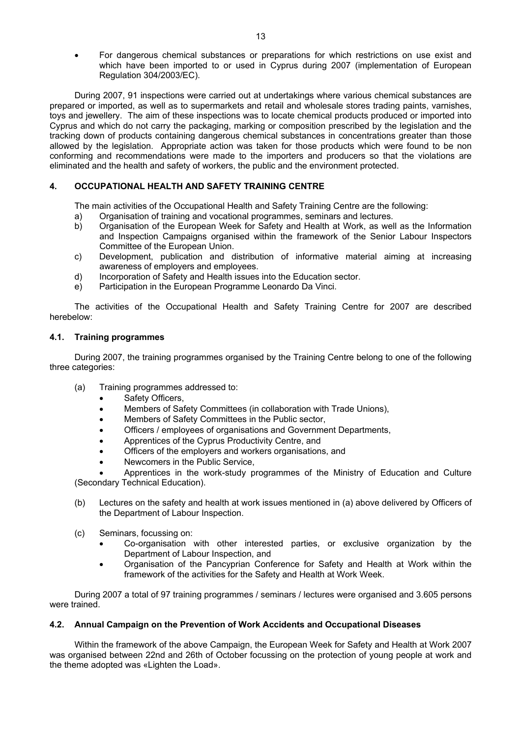• For dangerous chemical substances or preparations for which restrictions on use exist and which have been imported to or used in Cyprus during 2007 (implementation of European Regulation 304/2003/EC).

 During 2007, 91 inspections were carried out at undertakings where various chemical substances are prepared or imported, as well as to supermarkets and retail and wholesale stores trading paints, varnishes, toys and jewellery. The aim of these inspections was to locate chemical products produced or imported into Cyprus and which do not carry the packaging, marking or composition prescribed by the legislation and the tracking down of products containing dangerous chemical substances in concentrations greater than those allowed by the legislation. Appropriate action was taken for those products which were found to be non conforming and recommendations were made to the importers and producers so that the violations are eliminated and the health and safety of workers, the public and the environment protected.

## **4. OCCUPATIONAL HEALTH AND SAFETY TRAINING CENTRE**

The main activities of the Occupational Health and Safety Training Centre are the following:

- a) Organisation of training and vocational programmes, seminars and lectures.
- b) Organisation of the European Week for Safety and Health at Work, as well as the Information and Inspection Campaigns organised within the framework of the Senior Labour Inspectors Committee of the European Union.
- c) Development, publication and distribution of informative material aiming at increasing awareness of employers and employees.
- d) Incorporation of Safety and Health issues into the Education sector.
- e) Participation in the European Programme Leonardo Da Vinci.

The activities of the Occupational Health and Safety Training Centre for 2007 are described herebelow:

## **4.1. Training programmes**

During 2007, the training programmes organised by the Training Centre belong to one of the following three categories:

- (a) Training programmes addressed to:
	- Safety Officers,
	- Members of Safety Committees (in collaboration with Trade Unions),
	- Members of Safety Committees in the Public sector,
	- Officers / employees of organisations and Government Departments,
	- Apprentices of the Cyprus Productivity Centre, and
	- Officers of the employers and workers organisations, and
	- Newcomers in the Public Service,

• Apprentices in the work-study programmes of the Ministry of Education and Culture (Secondary Technical Education).

- (b) Lectures on the safety and health at work issues mentioned in (a) above delivered by Officers of the Department of Labour Inspection.
- (c) Seminars, focussing on:
	- Co-organisation with other interested parties, or exclusive organization by the Department of Labour Inspection, and
	- Organisation of the Pancyprian Conference for Safety and Health at Work within the framework of the activities for the Safety and Health at Work Week.

During 2007 a total of 97 training programmes / seminars / lectures were organised and 3.605 persons were trained.

## **4.2. Annual Campaign on the Prevention of Work Accidents and Occupational Diseases**

Within the framework of the above Campaign, the European Week for Safety and Health at Work 2007 was organised between 22nd and 26th of October focussing on the protection of young people at work and the theme adopted was «Lighten the Load».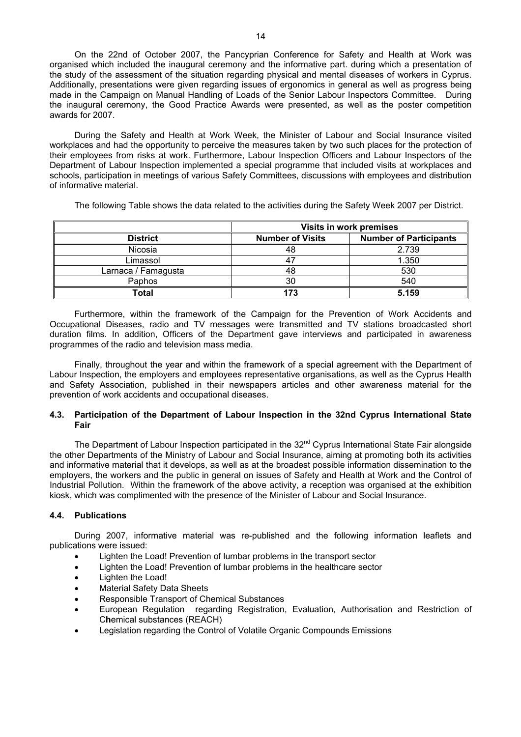On the 22nd of October 2007, the Pancyprian Conference for Safety and Health at Work was organised which included the inaugural ceremony and the informative part. during which a presentation of the study of the assessment of the situation regarding physical and mental diseases of workers in Cyprus. Additionally, presentations were given regarding issues of ergonomics in general as well as progress being made in the Campaign on Manual Handling of Loads of the Senior Labour Inspectors Committee. During the inaugural ceremony, the Good Practice Awards were presented, as well as the poster competition awards for 2007.

During the Safety and Health at Work Week, the Minister of Labour and Social Insurance visited workplaces and had the opportunity to perceive the measures taken by two such places for the protection of their employees from risks at work. Furthermore, Labour Inspection Officers and Labour Inspectors of the Department of Labour Inspection implemented a special programme that included visits at workplaces and schools, participation in meetings of various Safety Committees, discussions with employees and distribution of informative material.

The following Table shows the data related to the activities during the Safety Week 2007 per District.

|                     | <b>Visits in work premises</b> |                               |  |  |  |  |  |  |  |  |
|---------------------|--------------------------------|-------------------------------|--|--|--|--|--|--|--|--|
| <b>District</b>     | <b>Number of Visits</b>        | <b>Number of Participants</b> |  |  |  |  |  |  |  |  |
| Nicosia             | 48                             | 2.739                         |  |  |  |  |  |  |  |  |
| Limassol            | 47                             | 1.350                         |  |  |  |  |  |  |  |  |
| Larnaca / Famagusta | 48                             | 530                           |  |  |  |  |  |  |  |  |
| Paphos              | 30                             | 540                           |  |  |  |  |  |  |  |  |
| Total               | 173                            | 5.159                         |  |  |  |  |  |  |  |  |

Furthermore, within the framework of the Campaign for the Prevention of Work Accidents and Occupational Diseases, radio and TV messages were transmitted and TV stations broadcasted short duration films. In addition, Officers of the Department gave interviews and participated in awareness programmes of the radio and television mass media.

Finally, throughout the year and within the framework of a special agreement with the Department of Labour Inspection, the employers and employees representative organisations, as well as the Cyprus Health and Safety Association, published in their newspapers articles and other awareness material for the prevention of work accidents and occupational diseases.

## **4.3. Participation of the Department of Labour Inspection in the 32nd Cyprus International State Fair**

The Department of Labour Inspection participated in the 32<sup>nd</sup> Cyprus International State Fair alongside the other Departments of the Ministry of Labour and Social Insurance, aiming at promoting both its activities and informative material that it develops, as well as at the broadest possible information dissemination to the employers, the workers and the public in general on issues of Safety and Health at Work and the Control of Industrial Pollution. Within the framework of the above activity, a reception was organised at the exhibition kiosk, which was complimented with the presence of the Minister of Labour and Social Insurance.

## **4.4. Publications**

During 2007, informative material was re-published and the following information leaflets and publications were issued:

- Lighten the Load! Prevention of lumbar problems in the transport sector
- Lighten the Load! Prevention of lumbar problems in the healthcare sector
- Lighten the Load!
- Material Safety Data Sheets
- Responsible Transport of Chemical Substances
- European Regulation regarding Registration, Evaluation, Authorisation and Restriction of C**h**emical substances (REACH)
- Legislation regarding the Control of Volatile Organic Compounds Emissions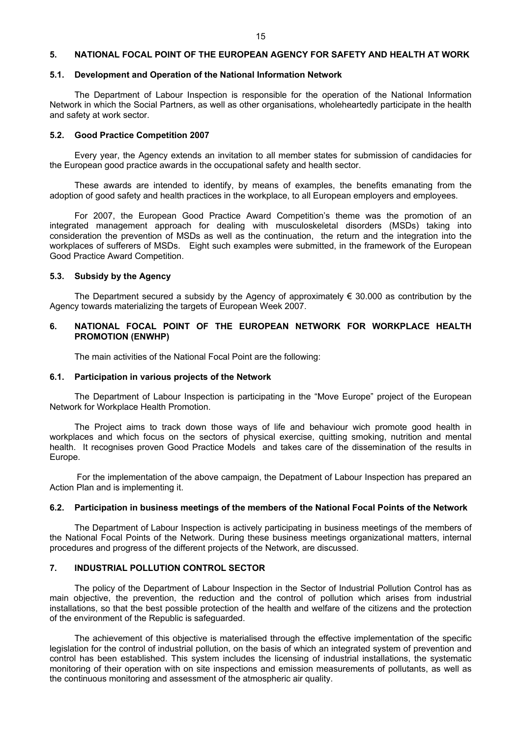#### **5. NATIONAL FOCAL POINT OF THE EUROPEAN AGENCY FOR SAFETY AND HEALTH AT WORK**

#### **5.1. Development and Operation of the National Information Network**

The Department of Labour Inspection is responsible for the operation of the National Information Network in which the Social Partners, as well as other organisations, wholeheartedly participate in the health and safety at work sector.

#### **5.2. Good Practice Competition 2007**

Every year, the Agency extends an invitation to all member states for submission of candidacies for the European good practice awards in the occupational safety and health sector.

These awards are intended to identify, by means of examples, the benefits emanating from the adoption of good safety and health practices in the workplace, to all European employers and employees.

For 2007, the European Good Practice Award Competition's theme was the promotion of an integrated management approach for dealing with musculoskeletal disorders (MSDs) taking into consideration the prevention of MSDs as well as the continuation, the return and the integration into the workplaces of sufferers of MSDs. Eight such examples were submitted, in the framework of the European Good Practice Award Competition.

## **5.3. Subsidy by the Agency**

The Department secured a subsidy by the Agency of approximately  $\epsilon$  30.000 as contribution by the Agency towards materializing the targets of European Week 2007.

## **6. NATIONAL FOCAL POINT OF THE EUROPEAN NETWORK FOR WORKPLACE HEALTH PROMOTION (ENWHP)**

The main activities of the National Focal Point are the following:

#### **6.1. Participation in various projects of the Network**

The Department of Labour Inspection is participating in the "Move Europe" project of the European Network for Workplace Health Promotion.

The Project aims to track down those ways of life and behaviour wich promote good health in workplaces and which focus on the sectors of physical exercise, quitting smoking, nutrition and mental health. It recognises proven Good Practice Models and takes care of the dissemination of the results in Europe.

 For the implementation of the above campaign, the Depatment of Labour Inspection has prepared an Action Plan and is implementing it.

#### **6.2. Participation in business meetings of the members of the National Focal Points of the Network**

The Department of Labour Inspection is actively participating in business meetings of the members of the National Focal Points of the Network. During these business meetings organizational matters, internal procedures and progress of the different projects of the Network, are discussed.

### **7. INDUSTRIAL POLLUTION CONTROL SECTOR**

The policy of the Department of Labour Inspection in the Sector of Industrial Pollution Control has as main objective, the prevention, the reduction and the control of pollution which arises from industrial installations, so that the best possible protection of the health and welfare of the citizens and the protection of the environment of the Republic is safeguarded.

The achievement of this objective is materialised through the effective implementation of the specific legislation for the control of industrial pollution, on the basis of which an integrated system of prevention and control has been established. This system includes the licensing of industrial installations, the systematic monitoring of their operation with on site inspections and emission measurements of pollutants, as well as the continuous monitoring and assessment of the atmospheric air quality.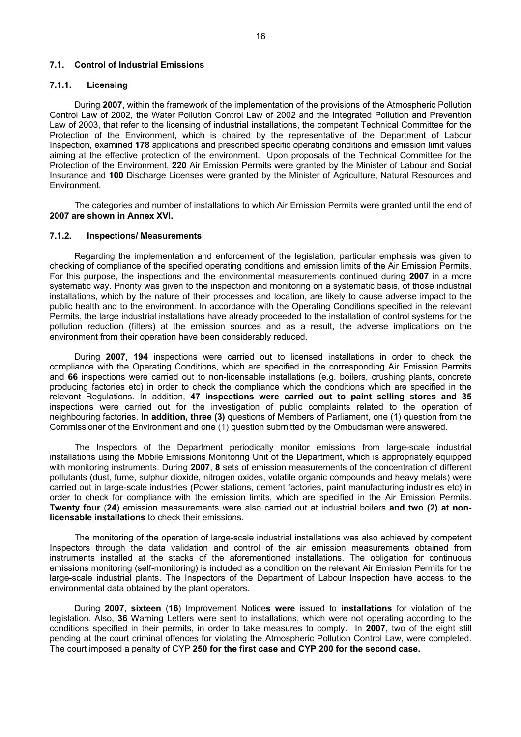## **7.1. Control of Industrial Emissions**

## **7.1.1. Licensing**

During **2007**, within the framework of the implementation of the provisions of the Atmospheric Pollution Control Law of 2002, the Water Pollution Control Law of 2002 and the Integrated Pollution and Prevention Law of 2003, that refer to the licensing of industrial installations, the competent Technical Committee for the Protection of the Environment, which is chaired by the representative of the Department of Labour Inspection, examined **178** applications and prescribed specific operating conditions and emission limit values aiming at the effective protection of the environment. Upon proposals of the Technical Committee for the Protection of the Environment, **220** Air Emission Permits were granted by the Minister of Labour and Social Insurance and **100** Discharge Licenses were granted by the Minister of Agriculture, Natural Resources and Environment.

Τhe categories and number of installations to which Air Emission Permits were granted until the end of **2007 are shown in Annex XVI.**

#### **7.1.2. Inspections/ Measurements**

Regarding the implementation and enforcement of the legislation, particular emphasis was given to checking of compliance of the specified operating conditions and emission limits of the Air Emission Permits. For this purpose, the inspections and the environmental measurements continued during **2007** in a more systematic way. Priority was given to the inspection and monitoring on a systematic basis, of those industrial installations, which by the nature of their processes and location, are likely to cause adverse impact to the public health and to the environment. In accordance with the Operating Conditions specified in the relevant Permits, the large industrial installations have already proceeded to the installation of control systems for the pollution reduction (filters) at the emission sources and as a result, the adverse implications on the environment from their operation have been considerably reduced.

During **2007**, **194** inspections were carried out to licensed installations in order to check the compliance with the Operating Conditions, which are specified in the corresponding Air Emission Permits and **66** inspections were carried out to non-licensable installations (e.g. boilers, crushing plants, concrete producing factories etc) in order to check the compliance which the conditions which are specified in the relevant Regulations. In addition, **47 inspections were carried out to paint selling stores and 35** inspections were carried out for the investigation of public complaints related to the operation of neighbouring factories. **In addition, three (3)** questions of Members of Parliament, one (1) question from the Commissioner of the Environment and one (1) question submitted by the Ombudsman were answered.

The Inspectors of the Department periodically monitor emissions from large-scale industrial installations using the Mobile Emissions Monitoring Unit of the Department, which is appropriately equipped with monitoring instruments. During **2007**, **8** sets of emission measurements of the concentration of different pollutants (dust, fume, sulphur dioxide, nitrogen oxides, volatile organic compounds and heavy metals) were carried out in large-scale industries (Power stations, cement factories, paint manufacturing industries etc) in order to check for compliance with the emission limits, which are specified in the Air Emission Permits. **Twenty four** (**24**) emission measurements were also carried out at industrial boilers **and two (2) at nonlicensable installations** to check their emissions.

The monitoring of the operation of large-scale industrial installations was also achieved by competent Inspectors through the data validation and control of the air emission measurements obtained from instruments installed at the stacks of the aforementioned installations. The obligation for continuous emissions monitoring (self-monitoring) is included as a condition on the relevant Air Emission Permits for the large-scale industrial plants. The Inspectors of the Department of Labour Inspection have access to the environmental data obtained by the plant operators.

During **2007**, **sixteen** (**16**) Improvement Notice**s were** issued to **installations** for violation of the legislation. Also, **36** Warning Letters were sent to installations, which were not operating according to the conditions specified in their permits, in order to take measures to comply. In **2007**, two of the eight still pending at the court criminal offences for violating the Atmospheric Pollution Control Law, were completed. The court imposed a penalty of CYP **250 for the first case and CYP 200 for the second case.**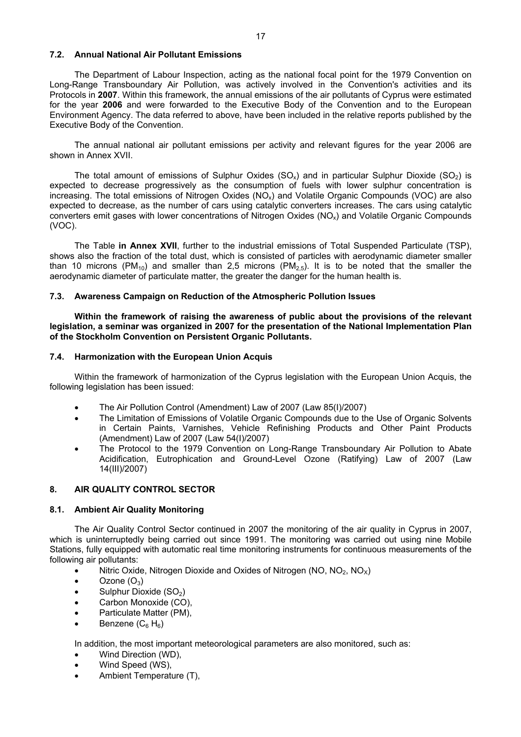## **7.2. Annual National Air Pollutant Emissions**

The Department of Labour Inspection, acting as the national focal point for the 1979 Convention on Long-Range Transboundary Air Pollution, was actively involved in the Convention's activities and its Protocols in **2007**. Within this framework, the annual emissions of the air pollutants of Cyprus were estimated for the year **2006** and were forwarded to the Executive Body of the Convention and to the European Environment Agency. The data referred to above, have been included in the relative reports published by the Executive Body of the Convention.

The annual national air pollutant emissions per activity and relevant figures for the year 2006 are shown in Annex XVII.

The total amount of emissions of Sulphur Oxides  $(SO<sub>x</sub>)$  and in particular Sulphur Dioxide  $(SO<sub>2</sub>)$  is expected to decrease progressively as the consumption of fuels with lower sulphur concentration is increasing. The total emissions of Nitrogen Oxides  $(NO<sub>x</sub>)$  and Volatile Organic Compounds (VOC) are also expected to decrease, as the number of cars using catalytic converters increases. The cars using catalytic converters emit gases with lower concentrations of Nitrogen Oxides (NO<sub>x</sub>) and Volatile Organic Compounds (VOC).

The Table **in Annex XVII**, further to the industrial emissions of Total Suspended Particulate (TSP), shows also the fraction of the total dust, which is consisted of particles with aerodynamic diameter smaller than 10 microns (PM<sub>10</sub>) and smaller than 2,5 microns (PM<sub>2.5</sub>). It is to be noted that the smaller the aerodynamic diameter of particulate matter, the greater the danger for the human health is.

#### **7.3. Awareness Campaign on Reduction of the Atmospheric Pollution Issues**

**Within the framework of raising the awareness of public about the provisions of the relevant legislation, a seminar was organized in 2007 for the presentation of the National Implementation Plan of the Stockholm Convention on Persistent Organic Pollutants.** 

#### **7.4. Harmonization with the European Union Acquis**

Within the framework of harmonization of the Cyprus legislation with the European Union Acquis, the following legislation has been issued:

- The Air Pollution Control (Amendment) Law of 2007 (Law 85(I)/2007)
- The Limitation of Emissions of Volatile Organic Compounds due to the Use of Organic Solvents in Certain Paints, Varnishes, Vehicle Refinishing Products and Other Paint Products (Amendment) Law of 2007 (Law 54(I)/2007)
- The Protocol to the 1979 Convention on Long-Range Transboundary Air Pollution to Abate Acidification, Eutrophication and Ground-Level Ozone (Ratifying) Law of 2007 (Law 14(III)/2007)

## **8. AIR QUALITY CONTROL SECTOR**

#### **8.1. Ambient Air Quality Monitoring**

The Air Quality Control Sector continued in 2007 the monitoring of the air quality in Cyprus in 2007, which is uninterruptedly being carried out since 1991. The monitoring was carried out using nine Mobile Stations, fully equipped with automatic real time monitoring instruments for continuous measurements of the following air pollutants:

- Nitric Oxide, Nitrogen Dioxide and Oxides of Nitrogen (NO,  $NO<sub>2</sub>$ , NO<sub>x</sub>)
- Ozone  $(O_3)$
- Sulphur Dioxide (SO<sub>2</sub>)
- Carbon Monoxide (CO).
- Particulate Matter (PM),
- Benzene  $(C_6 H_6)$

In addition, the most important meteorological parameters are also monitored, such as:

- Wind Direction (WD),
- Wind Speed (WS),
- Ambient Temperature (T),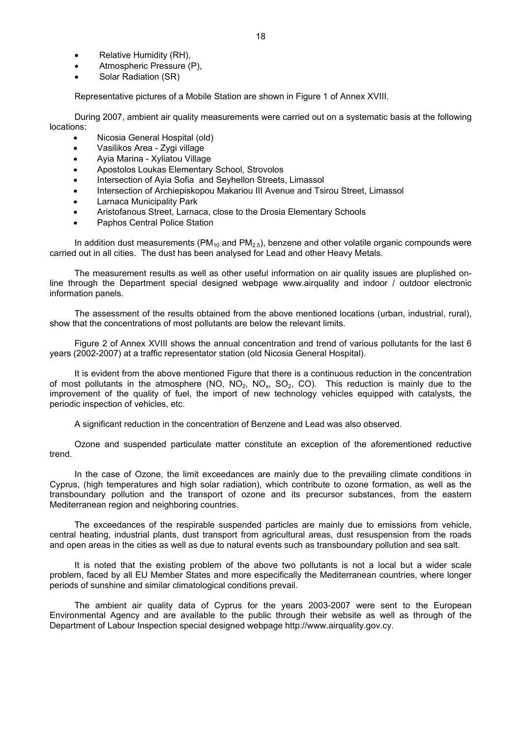- Relative Humidity (RH),
- Atmospheric Pressure (P),
- Solar Radiation (SR)

Representative pictures of a Mobile Station are shown in Figure 1 of Annex XVIII.

During 2007, ambient air quality measurements were carried out on a systematic basis at the following locations:

- Nicosia General Hospital (old)
- Vasilikos Area Zygi village
- Ayia Marina Xyliatou Village
- Apostolos Loukas Elementary School, Strovolos
- Intersection of Ayia Sofia and Seyhellon Streets, Limassol
- Intersection of Archiepiskopou Makariou III Avenue and Tsirou Street, Limassol
- Larnaca Municipality Park
- Aristofanous Street, Larnaca, close to the Drosia Elementary Schools
- Paphos Central Police Station

In addition dust measurements ( $PM<sub>10</sub>$  and  $PM<sub>2.5</sub>$ ), benzene and other volatile organic compounds were carried out in all cities. The dust has been analysed for Lead and other Heavy Metals.

The measurement results as well as other useful information on air quality issues are pluplished online through the Department special designed webpage www.airquality and indoor / outdoor electronic information panels.

The assessment of the results obtained from the above mentioned locations (urban, industrial, rural), show that the concentrations of most pollutants are below the relevant limits.

Figure 2 of Annex XVIII shows the annual concentration and trend of various pollutants for the last 6 years (2002-2007) at a traffic representator station (old Nicosia General Hospital).

It is evident from the above mentioned Figure that there is a continuous reduction in the concentration of most pollutants in the atmosphere (NO,  $NO<sub>2</sub>$ ,  $NO<sub>x</sub>$ ,  $SO<sub>2</sub>$ ,  $CO$ ). This reduction is mainly due to the improvement of the quality of fuel, the import of new technology vehicles equipped with catalysts, the periodic inspection of vehicles, etc.

A significant reduction in the concentration of Benzene and Lead was also observed.

Ozone and suspended particulate matter constitute an exception of the aforementioned reductive trend.

In the case of Ozone, the limit exceedances are mainly due to the prevailing climate conditions in Cyprus, (high temperatures and high solar radiation), which contribute to ozone formation, as well as the transboundary pollution and the transport of ozone and its precursor substances, from the eastern Mediterranean region and neighboring countries.

The exceedances of the respirable suspended particles are mainly due to emissions from vehicle, central heating, industrial plants, dust transport from agricultural areas, dust resuspension from the roads and open areas in the cities as well as due to natural events such as transboundary pollution and sea salt.

It is noted that the existing problem of the above two pollutants is not a local but a wider scale problem, faced by all EU Member States and more especifically the Mediterranean countries, where longer periods of sunshine and similar climatological conditions prevail.

The ambient air quality data of Cyprus for the years 2003-2007 were sent to the European Environmental Agency and are available to the public through their website as well as through of the Department of Labour Inspection special designed webpage http://www.airquality.gov.cy.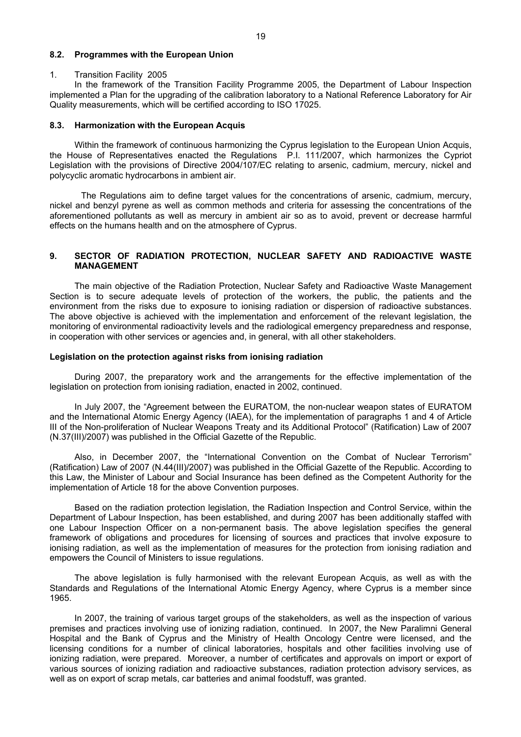### **8.2. Programmes with the European Union**

#### 1. Transition Facility 2005

 In the framework of the Transition Facility Programme 2005, the Department of Labour Inspection implemented a Plan for the upgrading of the calibration laboratory to a National Reference Laboratory for Air Quality measurements, which will be certified according to ISO 17025.

#### **8.3. Harmonization with the European Acquis**

Within the framework of continuous harmonizing the Cyprus legislation to the European Union Acquis, the House of Representatives enacted the Regulations P.I. 111/2007, which harmonizes the Cypriot Legislation with the provisions of Directive 2004/107/EC relating to arsenic, cadmium, mercury, nickel and polycyclic aromatic hydrocarbons in ambient air.

 The Regulations aim to define target values for the concentrations of arsenic, cadmium, mercury, nickel and benzyl pyrene as well as common methods and criteria for assessing the concentrations of the aforementioned pollutants as well as mercury in ambient air so as to avoid, prevent or decrease harmful effects on the humans health and on the atmosphere of Cyprus.

## **9. SECTOR OF RADIATION PROTECTION, NUCLEAR SAFETY AND RADIOACTIVE WASTE MANAGEMENT**

The main objective of the Radiation Protection, Nuclear Safety and Radioactive Waste Management Section is to secure adequate levels of protection of the workers, the public, the patients and the environment from the risks due to exposure to ionising radiation or dispersion of radioactive substances. The above objective is achieved with the implementation and enforcement of the relevant legislation, the monitoring of environmental radioactivity levels and the radiological emergency preparedness and response, in cooperation with other services or agencies and, in general, with all other stakeholders.

#### **Legislation on the protection against risks from ionising radiation**

During 2007, the preparatory work and the arrangements for the effective implementation of the legislation on protection from ionising radiation, enacted in 2002, continued.

In July 2007, the "Agreement between the EURATOM, the non-nuclear weapon states of EURATOM and the International Atomic Energy Agency (IAEA), for the implementation of paragraphs 1 and 4 of Article III of the Non-proliferation of Nuclear Weapons Treaty and its Additional Protocol" (Ratification) Law of 2007 (N.37(III)/2007) was published in the Official Gazette of the Republic.

Also, in December 2007, the "International Convention on the Combat of Nuclear Terrorism" (Ratification) Law of 2007 (N.44(III)/2007) was published in the Official Gazette of the Republic. According to this Law, the Minister of Labour and Social Insurance has been defined as the Competent Authority for the implementation of Article 18 for the above Convention purposes.

Based on the radiation protection legislation, the Radiation Inspection and Control Service, within the Department of Labour Inspection, has been established, and during 2007 has been additionally staffed with one Labour Inspection Officer on a non-permanent basis. The above legislation specifies the general framework of obligations and procedures for licensing of sources and practices that involve exposure to ionising radiation, as well as the implementation of measures for the protection from ionising radiation and empowers the Council of Ministers to issue regulations.

The above legislation is fully harmonised with the relevant European Acquis, as well as with the Standards and Regulations of the International Atomic Energy Agency, where Cyprus is a member since 1965.

In 2007, the training of various target groups of the stakeholders, as well as the inspection of various premises and practices involving use of ionizing radiation, continued. In 2007, the New Paralimni General Hospital and the Bank of Cyprus and the Ministry of Health Oncology Centre were licensed, and the licensing conditions for a number of clinical laboratories, hospitals and other facilities involving use of ionizing radiation, were prepared. Moreover, a number of certificates and approvals on import or export of various sources of ionizing radiation and radioactive substances, radiation protection advisory services, as well as on export of scrap metals, car batteries and animal foodstuff, was granted.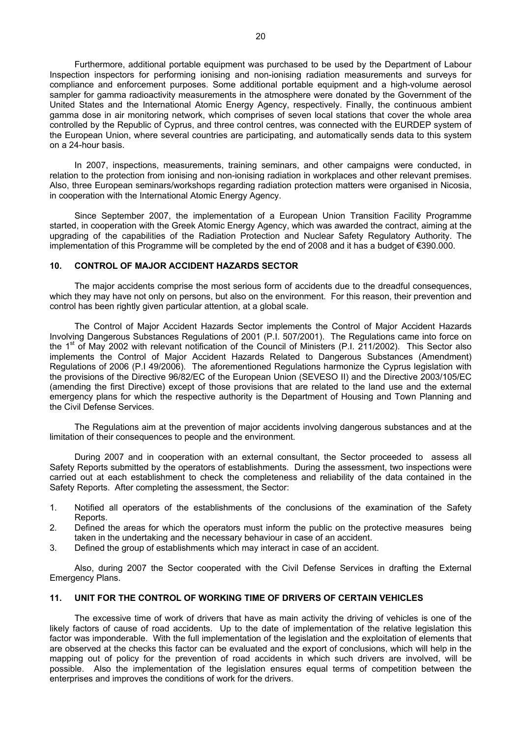Furthermore, additional portable equipment was purchased to be used by the Department of Labour Inspection inspectors for performing ionising and non-ionising radiation measurements and surveys for compliance and enforcement purposes. Some additional portable equipment and a high-volume aerosol sampler for gamma radioactivity measurements in the atmosphere were donated by the Government of the United States and the International Atomic Energy Agency, respectively. Finally, the continuous ambient gamma dose in air monitoring network, which comprises of seven local stations that cover the whole area controlled by the Republic of Cyprus, and three control centres, was connected with the EURDEP system of the European Union, where several countries are participating, and automatically sends data to this system on a 24-hour basis.

In 2007, inspections, measurements, training seminars, and other campaigns were conducted, in relation to the protection from ionising and non-ionising radiation in workplaces and other relevant premises. Also, three European seminars/workshops regarding radiation protection matters were organised in Nicosia, in cooperation with the International Atomic Energy Agency.

Since September 2007, the implementation of a European Union Transition Facility Programme started, in cooperation with the Greek Atomic Energy Agency, which was awarded the contract, aiming at the upgrading of the capabilities of the Radiation Protection and Nuclear Safety Regulatory Authority. The implementation of this Programme will be completed by the end of 2008 and it has a budget of €390.000.

## **10. CONTROL OF MAJOR ACCIDENT HAZARDS SECTOR**

The major accidents comprise the most serious form of accidents due to the dreadful consequences, which they may have not only on persons, but also on the environment. For this reason, their prevention and control has been rightly given particular attention, at a global scale.

The Control of Major Accident Hazards Sector implements the Control of Major Accident Hazards Involving Dangerous Substances Regulations of 2001 (P.I. 507/2001). The Regulations came into force on the  $1<sup>st</sup>$  of May 2002 with relevant notification of the Council of Ministers (P.I. 211/2002). This Sector also implements the Control of Major Accident Hazards Related to Dangerous Substances (Amendment) Regulations of 2006 (P.I 49/2006). The aforementioned Regulations harmonize the Cyprus legislation with the provisions of the Directive 96/82/EC of the European Union (SEVESO II) and the Directive 2003/105/EC (amending the first Directive) except of those provisions that are related to the land use and the external emergency plans for which the respective authority is the Department of Housing and Town Planning and the Civil Defense Services.

The Regulations aim at the prevention of major accidents involving dangerous substances and at the limitation of their consequences to people and the environment.

During 2007 and in cooperation with an external consultant, the Sector proceeded to assess all Safety Reports submitted by the operators of establishments. During the assessment, two inspections were carried out at each establishment to check the completeness and reliability of the data contained in the Safety Reports. After completing the assessment, the Sector:

- 1. Notified all operators of the establishments of the conclusions of the examination of the Safety Reports.
- 2. Defined the areas for which the operators must inform the public on the protective measures being taken in the undertaking and the necessary behaviour in case of an accident.
- 3. Defined the group of establishments which may interact in case of an accident.

Also, during 2007 the Sector cooperated with the Civil Defense Services in drafting the External Emergency Plans.

## **11. UNIT FOR THE CONTROL OF WORKING TIME OF DRIVERS OF CERTAIN VEHICLES**

The excessive time of work of drivers that have as main activity the driving of vehicles is one of the likely factors of cause of road accidents. Up to the date of implementation of the relative legislation this factor was imponderable. With the full implementation of the legislation and the exploitation of elements that are observed at the checks this factor can be evaluated and the export of conclusions, which will help in the mapping out of policy for the prevention of road accidents in which such drivers are involved, will be possible. Also the implementation of the legislation ensures equal terms of competition between the enterprises and improves the conditions of work for the drivers.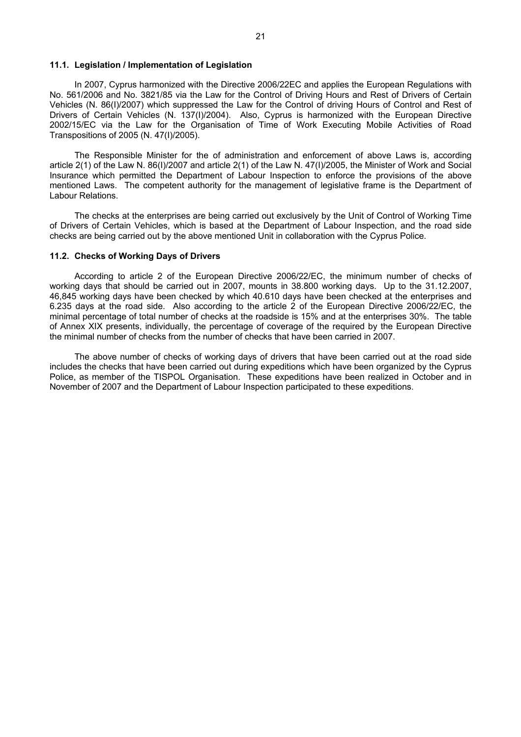## **11.1. Legislation / Implementation of Legislation**

In 2007, Cyprus harmonized with the Directive 2006/22EC and applies the European Regulations with No. 561/2006 and No. 3821/85 via the Law for the Control of Driving Hours and Rest of Drivers of Certain Vehicles (N. 86(I)/2007) which suppressed the Law for the Control of driving Hours of Control and Rest of Drivers of Certain Vehicles (N. 137(I)/2004). Also, Cyprus is harmonized with the European Directive 2002/15/EC via the Law for the Organisation of Time of Work Executing Mobile Activities of Road Transpositions of 2005 (N. 47(I)/2005).

The Responsible Minister for the of administration and enforcement of above Laws is, according article 2(1) of the Law N. 86(I)/2007 and article 2(1) of the Law N. 47(I)/2005, the Minister of Work and Social Insurance which permitted the Department of Labour Inspection to enforce the provisions of the above mentioned Laws. The competent authority for the management of legislative frame is the Department of Labour Relations.

The checks at the enterprises are being carried out exclusively by the Unit of Control of Working Time of Drivers of Certain Vehicles, which is based at the Department of Labour Inspection, and the road side checks are being carried out by the above mentioned Unit in collaboration with the Cyprus Police.

#### **11.2. Checks of Working Days of Drivers**

According to article 2 of the European Directive 2006/22/EC, the minimum number of checks of working days that should be carried out in 2007, mounts in 38.800 working days. Up to the 31.12.2007, 46,845 working days have been checked by which 40.610 days have been checked at the enterprises and 6.235 days at the road side. Also according to the article 2 of the European Directive 2006/22/EC, the minimal percentage of total number of checks at the roadside is 15% and at the enterprises 30%. The table of Annex XIX presents, individually, the percentage of coverage of the required by the European Directive the minimal number of checks from the number of checks that have been carried in 2007.

The above number of checks of working days of drivers that have been carried out at the road side includes the checks that have been carried out during expeditions which have been organized by the Cyprus Police, as member of the TISPOL Organisation. These expeditions have been realized in October and in November of 2007 and the Department of Labour Inspection participated to these expeditions.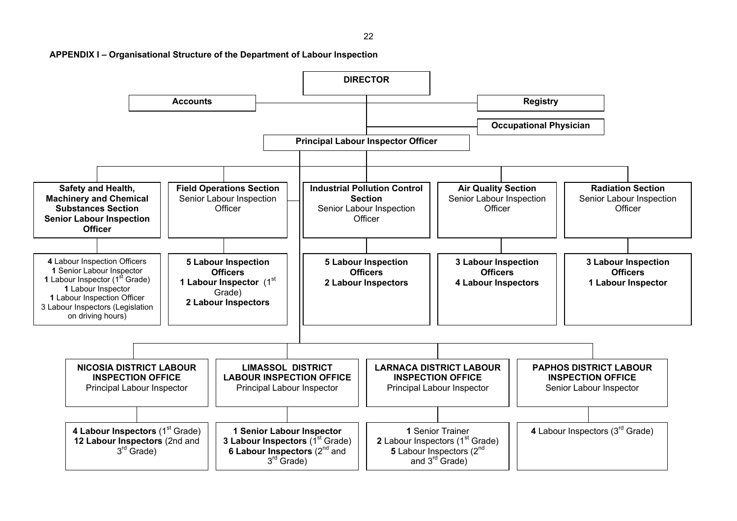$22$ 



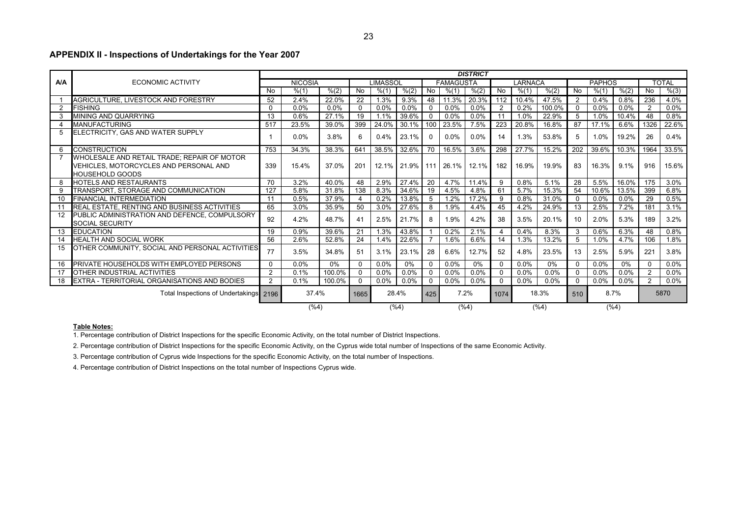## **APPENDIX II - Inspections of Undertakings for the Year 2007**

|                |                                                                                                                 | <b>DISTRICT</b>                 |                |        |                |          |                     |             |           |          |                  |         |        |                 |               |       |                |       |
|----------------|-----------------------------------------------------------------------------------------------------------------|---------------------------------|----------------|--------|----------------|----------|---------------------|-------------|-----------|----------|------------------|---------|--------|-----------------|---------------|-------|----------------|-------|
| <b>A/A</b>     | <b>ECONOMIC ACTIVITY</b>                                                                                        |                                 | <b>NICOSIA</b> |        |                | LIMASSOL |                     |             | FAMAGUSTA |          |                  | LARNACA |        |                 | <b>PAPHOS</b> |       |                | TOTAL |
|                |                                                                                                                 | No.                             | % (1)          | % (2)  | No             | % (1)    | % (2)               | No          | % (1)     | % (2)    | No               | % (1)   | % (2)  | No              | % (1)         | % (2) | No             | % (3) |
|                | AGRICULTURE. LIVESTOCK AND FORESTRY                                                                             | 52                              | 2.4%           | 22.0%  | 22             | 1.3%     | 9.3%                | 48          | 11.3%     | 20.3%    | $\overline{112}$ | 10.4%   | 47.5%  | $\overline{2}$  | 0.4%          | 0.8%  | 236            | 4.0%  |
| $\overline{2}$ | <b>FISHING</b>                                                                                                  | $\Omega$                        | 0.0%           | 0.0%   | 0              | 0.0%     | 0.0%                | 0           | 0.0%      | 0.0%     | 2                | 0.2%    | 100.0% |                 | 0.0%          | 0.0%  | 2              | 0.0%  |
| 3              | MINING AND QUARRYING                                                                                            | 13                              | 0.6%           | 27.1%  | 19             | 1.1%     | 39.6%               | 0           | 0.0%      | 0.0%     | 11               | 1.0%    | 22.9%  | 5 <sup>5</sup>  | 1.0%          | 10.4% | 48             | 0.8%  |
| $\overline{a}$ | <b>MANUFACTURING</b>                                                                                            | 517                             | 23.5%          | 39.0%  | 399            | 24.0%    | 30.1%               | 100         | 23.5%     | 7.5%     | 223              | 20.8%   | 16.8%  | 87              | 17.1%         | 6.6%  | 1326           | 22.6% |
| 5              | ELECTRICITY, GAS AND WATER SUPPLY                                                                               |                                 | 0.0%           | 3.8%   | 6              | 0.4%     | 23.1%               | $\Omega$    | 0.0%      | 0.0%     | 14               | 1.3%    | 53.8%  | 5               | 1.0%          | 19.2% | 26             | 0.4%  |
| 6              | <b>CONSTRUCTION</b>                                                                                             | 753                             | 34.3%          | 38.3%  | 641            | 38.5%    | 32.6%               | 70          | 16.5%     | 3.6%     | 298              | 27.7%   | 15.2%  | 202             | 39.6%         | 10.3% | 1964           | 33.5% |
|                | WHOLESALE AND RETAIL TRADE; REPAIR OF MOTOR<br>VEHICLES, MOTORCYCLES AND PERSONAL AND<br><b>HOUSEHOLD GOODS</b> | 339                             | 15.4%          | 37.0%  | 201            | $12.1\%$ | 21.9%   111   26.1% |             |           | $12.1\%$ | 182              | 16.9%   | 19.9%  | 83              | 16.3%         | 9.1%  | 916            | 15.6% |
| 8              | HOTELS AND RESTAURANTS                                                                                          | 70                              | 3.2%           | 40.0%  | 48             | 2.9%     | 27.4%               | 20          | 4.7%      | 11.4%    | 9                | 0.8%    | 5.1%   | 28              | 5.5%          | 16.0% | 175            | 3.0%  |
| 9              | TRANSPORT. STORAGE AND COMMUNICATION                                                                            | 127                             | 5.8%           | 31.8%  | 138            | 8.3%     | 34.6%               | 19          | 4.5%      | 4.8%     | 61               | 5.7%    | 15.3%  | 54              | 10.6%         | 13.5% | 399            | 6.8%  |
| 10             | FINANCIAL INTERMEDIATION                                                                                        | 11                              | 0.5%           | 37.9%  | $\overline{4}$ | 0.2%     | 13.8%               | -5          | 1.2%      | 17.2%    | 9                | 0.8%    | 31.0%  |                 | $0.0\%$       | 0.0%  | 29             | 0.5%  |
| 11             | <b>REAL ESTATE, RENTING AND BUSINESS ACTIVITIES</b>                                                             | 65                              | 3.0%           | 35.9%  | 50             | 3.0%     | 27.6%               | 8           | 1.9%      | 4.4%     | 45               | 4.2%    | 24.9%  | 13              | 2.5%          | 7.2%  | 181            | 3.1%  |
| 12             | PUBLIC ADMINISTRATION AND DEFENCE, COMPULSORY<br><b>SOCIAL SECURITY</b>                                         | 92                              | 4.2%           | 48.7%  | 41             | 2.5%     | 21.7%               | 8           | 1.9%      | 4.2%     | 38               | 3.5%    | 20.1%  | 10 <sup>1</sup> | 2.0%          | 5.3%  | 189            | 3.2%  |
| 13             | <b>EDUCATION</b>                                                                                                | 19                              | 0.9%           | 39.6%  | 21             | 1.3%     | 43.8%               |             | 0.2%      | 2.1%     |                  | 0.4%    | 8.3%   | 3 <sup>1</sup>  | 0.6%          | 6.3%  | 48             | 0.8%  |
| 14             | <b>HEALTH AND SOCIAL WORK</b>                                                                                   | 56                              | 2.6%           | 52.8%  | 24             | 1.4%     | 22.6%               |             | 1.6%      | 6.6%     | 14               | 1.3%    | 13.2%  | 5 <sup>5</sup>  | 1.0%          | 4.7%  | 106            | 1.8%  |
| 15             | OTHER COMMUNITY, SOCIAL AND PERSONAL ACTIVITIES                                                                 | 77                              | 3.5%           | 34.8%  | 51             | 3.1%     | 23.1%               | 28          | 6.6%      | 12.7%    | 52               | 4.8%    | 23.5%  | 13              | 2.5%          | 5.9%  | 221            | 3.8%  |
| 16             | PRIVATE HOUSEHOLDS WITH EMPLOYED PERSONS                                                                        | $\Omega$                        | 0.0%           | $0\%$  | $\Omega$       | 0.0%     | 0%                  | $\Omega$    | 0.0%      | $0\%$    | $\Omega$         | 0.0%    | $0\%$  |                 | $0.0\%$       | 0%    | $\Omega$       | 0.0%  |
| 17             | <b>OTHER INDUSTRIAL ACTIVITIES</b>                                                                              | 2                               | 0.1%           | 100.0% | $\mathbf 0$    | 0.0%     | 0.0%                | $\Omega$    | 0.0%      | 0.0%     | $\Omega$         | 0.0%    | 0.0%   |                 | 0.0%          | 0.0%  | $\overline{2}$ | 0.0%  |
| 18             | <b>EXTRA - TERRITORIAL ORGANISATIONS AND BODIES</b>                                                             | $\overline{2}$                  | 0.1%<br>100.0% |        |                | 0.0%     | 0.0%                | $\Omega$    | 0.0%      | 0.0%     | $\Omega$         | 0.0%    | 0.0%   | $\Omega$        | $0.0\%$       | 0.0%  | $\overline{2}$ | 0.0%  |
|                | Total Inspections of Undertakings 2196                                                                          |                                 | 37.4%          |        | 28.4%<br>1665  |          |                     | 7.2%<br>425 |           |          | 1074             |         | 18.3%  | 510             |               | 8.7%  |                | 5870  |
|                |                                                                                                                 | (%4)<br>$(\%4)$<br>(%4)<br>(%4) |                |        |                |          |                     |             |           |          |                  | $(\%4)$ |        |                 |               |       |                |       |

#### **Table Notes:**

1. Percentage contribution of District Inspections for the specific Economic Activity, on the total number of District Inspections.

2. Percentage contribution of District Inspections for the specific Economic Activity, on the Cyprus wide total number of Inspections of the same Economic Activity.

3. Percentage contribution of Cyprus wide Inspections for the specific Economic Activity, on the total number of Inspections.

4. Percentage contribution of District Inspections on the total number of Inspections Cyprus wide.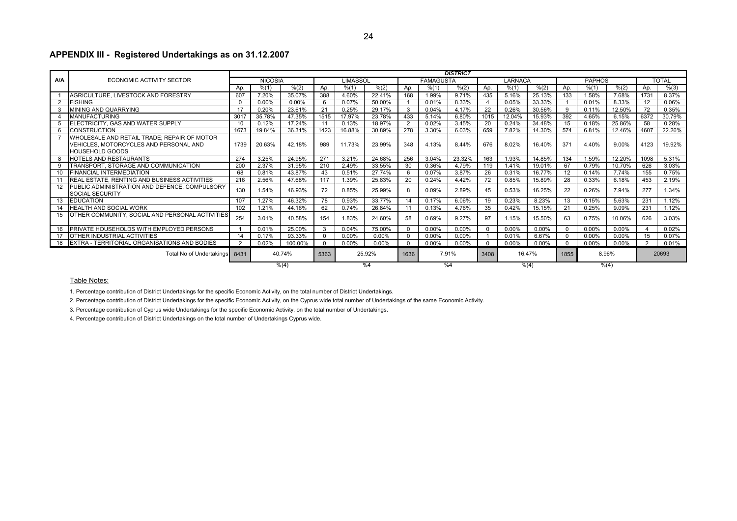## **APPENDIX III - Registered Undertakings as on 31.12.2007**

|            |                                                                   | <b>DISTRICT</b> |                |         |          |          |        |          |                       |          |                |          |          |                 |               |          |                   |              |
|------------|-------------------------------------------------------------------|-----------------|----------------|---------|----------|----------|--------|----------|-----------------------|----------|----------------|----------|----------|-----------------|---------------|----------|-------------------|--------------|
| <b>A/A</b> | ECONOMIC ACTIVITY SECTOR                                          |                 | <b>NICOSIA</b> |         |          | LIMASSOL |        |          | <b>FAMAGUSTA</b>      |          |                | LARNACA  |          |                 | <b>PAPHOS</b> |          |                   | <b>TOTAL</b> |
|            |                                                                   | Aρ.             | % (1)          | % (2)   | Ap.      | % (1)    | % (2)  | Ap.      | % (1)                 | % (2)    | Ap.            | % (1)    | % (2)    | Ao.             | % (1)         | % (2)    | Ap.               | % (3)        |
|            | AGRICULTURE, LIVESTOCK AND FORESTRY                               | 607             | 7.20%          | 35.07%  | 388      | 4.60%    | 22.41% | 168      | .99%                  | 9.71%    | 435            | 5.16%    | 25.13%   | 133             | 1.58%         | 7.68%    | 1731              | 8.37%        |
|            | <b>FISHING</b>                                                    | $\Omega$        | 0.00%          | 0.00%   | 6        | 0.07%    | 50.00% |          | 0.01%                 | 8.33%    | $\overline{4}$ | 0.05%    | 33.33%   |                 | 0.01%         | 8.33%    | $12 \overline{ }$ | 0.06%        |
|            | MINING AND QUARRYING                                              | 17              | 0.20%          | 23.61%  | 21       | 0.25%    | 29.17% | 3        | 0.04%                 | 4.17%    | 22             | 0.26%    | 30.56%   | 9               | 0.11%         | 12.50%   | 72                | 0.35%        |
|            | <b>MANUFACTURING</b>                                              | 3017            | 35.78%         | 47.35%  | 1515     | 17.97%   | 23.78% | 433      | 5.14%                 | 6.80%    | 1015           | 12.04%   | 15.93%   | 392             | 4.65%         | 6.15%    | 6372              | 30.79%       |
|            | ELECTRICITY, GAS AND WATER SUPPLY                                 | 10              | 0.12%          | 17.24%  | 11       | 0.13%    | 18.97% | 2        | 0.02%                 | 3.45%    | 20             | 0.24%    | 34.48%   | 15              | 0.18%         | 25.86%   | 58                | 0.28%        |
| 6          | <b>CONSTRUCTION</b>                                               | 1673            | 19.84%         | 36.31%  | 1423     | 16.88%   | 30.89% | 278      | 3.30%                 | 6.03%    | 659            | 7.82%    | 14.30%   | 574             | 6.81%         | 12.46%   | 4607              | 22.26%       |
|            | WHOLESALE AND RETAIL TRADE; REPAIR OF MOTOR                       |                 |                |         |          |          |        |          |                       |          |                |          |          |                 |               |          |                   |              |
|            | VEHICLES, MOTORCYCLES AND PERSONAL AND                            | 1739            | 20.63%         | 42.18%  | 989      | 11.73%   | 23.99% | 348      | 4.13%                 | 8.44%    | 676            | 8.02%    | 16.40%   | 37 <sup>1</sup> | 4.40%         | 9.00%    | 4123              | 19.92%       |
|            | <b>HOUSEHOLD GOODS</b>                                            |                 |                |         |          |          |        |          |                       |          |                |          |          |                 |               |          |                   |              |
| 8          | HOTELS AND RESTAURANTS                                            | 274             | 3.25%          | 24.95%  | 271      | 3.21%    | 24.68% | 256      | 3.04%                 | 23.32%   | 163            | 1.93%    | 14.85%   | 134             | 1.59%         | 12.20%   | 1098              | 5.31%        |
|            | TRANSPORT, STORAGE AND COMMUNICATION                              | 200             | 2.37%          | 31.95%  | 210      | 2.49%    | 33.55% | 30       | 0.36%                 | 4.79%    | 119            | 1.41%    | 19.01%   | 67              | 0.79%         | 10.70%   | 626               | 3.03%        |
|            | <b>FINANCIAL INTERMEDIATION</b>                                   | 68              | 0.81%          | 43.87%  | 43       | 0.51%    | 27.74% | 6        | 0.07%                 | 3.87%    | 26             | 0.31%    | 16.77%   | 12              | 0.14%         | 7.74%    | 155               | 0.75%        |
|            | REAL ESTATE, RENTING AND BUSINESS ACTIVITIES                      | 216             | 2.56%          | 47.68%  | 117      | 1.39%    | 25.83% | 20       | 0.24%                 | 4.42%    | 72             | 0.85%    | 15.89%   | 28              | 0.33%         | 6.18%    | 453               | 2.19%        |
|            | PUBLIC ADMINISTRATION AND DEFENCE. COMPULSORY                     | 130             | 1.54%          | 46.93%  | 72       | 0.85%    | 25.99% | 8        | 0.09%                 | 2.89%    | 45             | 0.53%    | 16.25%   | 22              | 0.26%         | 7.94%    | 277               | 1.34%        |
|            | <b>SOCIAL SECURITY</b>                                            |                 |                |         |          |          |        |          |                       |          |                |          |          |                 |               |          |                   |              |
| 13         | <b>EDUCATION</b>                                                  | 107             | 1.27%          | 46.32%  | 78       | 0.93%    | 33.77% | 14       | 0.17%                 | 6.06%    | 19             | 0.23%    | 8.23%    | 13              | 0.15%         | 5.63%    | 231               | 1.12%        |
|            | HEALTH AND SOCIAL WORK                                            | 102             | 1.21%          | 44.16%  | 62       | 0.74%    | 26.84% | 11       | 0.13%                 | 4.76%    | 35             | 0.42%    | 15.15%   | 21              | 0.25%         | 9.09%    | 231               | 1.12%        |
| 15         | OTHER COMMUNITY, SOCIAL AND PERSONAL ACTIVITIES                   | 254             | 3.01%          | 40.58%  | 154      | 1.83%    | 24.60% | 58       | 0.69%                 | 9.27%    | 97             | 1.15%    | 15.50%   | 63              | 0.75%         | 10.06%   | 626               | 3.03%        |
|            |                                                                   |                 |                |         |          |          |        |          |                       |          |                |          |          |                 |               |          |                   |              |
| 16         | PRIVATE HOUSEHOLDS WITH EMPLOYED PERSONS                          |                 | 0.01%          | 25.00%  | 3        | 0.04%    | 75.00% | $\Omega$ | 0.00%                 | 0.00%    | $\Omega$       | $0.00\%$ | $0.00\%$ | $\Omega$        | $0.00\%$      | 0.00%    |                   | 0.02%        |
|            | OTHER INDUSTRIAL ACTIVITIES                                       | 14              | 0.17%          | 93.33%  | 0        | 0.00%    | 0.00%  | $\Omega$ | 0.00%                 | 0.00%    |                | 0.01%    | 6.67%    |                 | 0.00%         | 0.00%    | 15                | 0.07%        |
|            | 18 EXTRA - TERRITORIAL ORGANISATIONS AND BODIES<br>$\overline{2}$ |                 | 0.02%          | 100.00% | $\Omega$ | $0.00\%$ | 0.00%  |          | $0.00\%$              | $0.00\%$ | $\Omega$       | $0.00\%$ | $0.00\%$ | $\Omega$        | $0.00\%$      | $0.00\%$ |                   | 0.01%        |
|            | Total No of Undertakings                                          | 8431            |                | 40.74%  | 5363     | 25.92%   |        |          | 7.91%<br>3408<br>1636 |          |                |          | 16.47%   | 8.96%<br>1855   |               |          |                   | 20693        |
|            |                                                                   |                 |                | % (4)   |          |          | %4     | %4       |                       |          |                |          | % (4)    |                 | % (4)         |          |                   |              |

#### Table Notes:

1. Percentage contribution of District Undertakings for the specific Economic Activity, on the total number of District Undertakings.

2. Percentage contribution of District Undertakings for the specific Economic Activity, on the Cyprus wide total number of Undertakings of the same Economic Activity.

3. Percentage contribution of Cyprus wide Undertakings for the specific Economic Activity, on the total number of Undertakings.

4. Percentage contribution of District Undertakings on the total number of Undertakings Cyprus wide.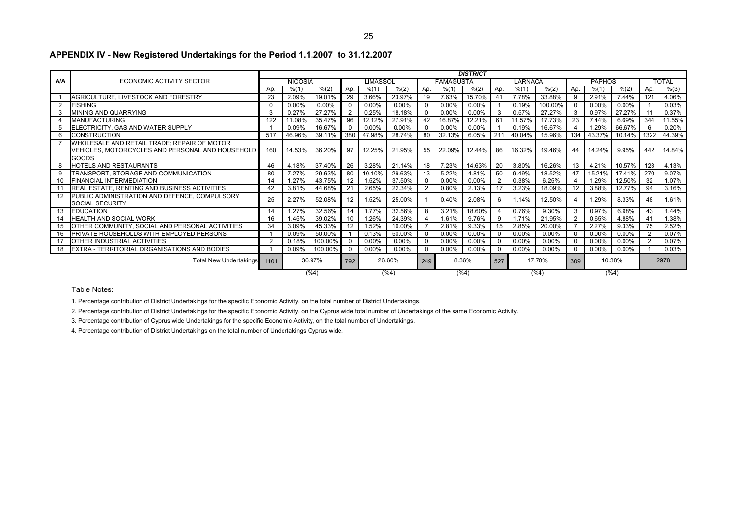|            |                                                  | <b>DISTRICT</b>  |                |         |                      |                 |          |             |                  |          |               |         |         |          |               |        |      |              |
|------------|--------------------------------------------------|------------------|----------------|---------|----------------------|-----------------|----------|-------------|------------------|----------|---------------|---------|---------|----------|---------------|--------|------|--------------|
| <b>A/A</b> | ECONOMIC ACTIVITY SECTOR                         |                  | <b>NICOSIA</b> |         |                      | LIMASSOL        |          |             | <b>FAMAGUSTA</b> |          |               | LARNACA |         |          | <b>PAPHOS</b> |        |      | <b>TOTAL</b> |
|            |                                                  | Ao.              | % (1)          | % (2)   | Ap.                  | % (1)           | % (2)    | Ap.         | % (1)            | % (2)    | Ap.           | % (1)   | % (2)   | Ap.      | % (1)         | % (2)  | Ap.  | % (3)        |
|            | AGRICULTURE, LIVESTOCK AND FORESTRY              | 23               | 2.09%          | 19.01%  | 29                   | 3.66%           | 23.97%   | 19          | 7.63%            | 15.70%   | 41            | 7.78%   | 33.88%  | <b>q</b> | 2.91%         | 7.44%  | 121  | 4.06%        |
| 2          | <b>FISHING</b>                                   | $\Omega$         | 0.00%          | 0.00%   | $\mathbf 0$          | $0.00\%$        | 0.00%    | $\Omega$    | 0.00%            | 0.00%    |               | 0.19%   | 100.00% |          | 0.00%         | 0.00%  |      | 0.03%        |
|            | MINING AND QUARRYING                             | 3                | 0.27%          | 27.27%  | 2                    | 0.25%           | 18.18%   |             | 0.00%            | 0.00%    | 3             | 0.57%   | 27.27%  | 3        | 0.97%         | 27.27% |      | 0.37%        |
| 4          | <b>MANUFACTURING</b>                             | 122              | 11.08%         | 35.47%  | 96                   | 12.12%          | 27.91%   | 42          | 16.87%           | 12.21%   | 61            | 11.57%  | 17.73%  | 23       | 7.44%         | 6.69%  | 344  | 11.55%       |
|            | ELECTRICITY, GAS AND WATER SUPPLY                |                  | 0.09%          | 16.67%  | $\Omega$             | $0.00\%$        | 0.00%    |             | 0.00%            | 0.00%    |               | 0.19%   | 16.67%  |          | 1.29%         | 66.67% | 6    | 0.20%        |
| 6          | <b>CONSTRUCTION</b>                              | 517              | 46.96%         | 39.11%  | 380                  | 47.98%          | 28.74%   | 80          | 32.13%           | 6.05%    | 21'           | 40.04%  | 15.96%  | 134      | 43.37%        | 10.14% | 1322 | 44.39%       |
|            | WHOLESALE AND RETAIL TRADE: REPAIR OF MOTOR      |                  |                |         |                      |                 |          |             |                  |          |               |         |         |          |               |        |      |              |
|            | VEHICLES, MOTORCYCLES AND PERSONAL AND HOUSEHOLD | 160              | 14.53%         | 36.20%  | 97                   | 12.25%          | 21.95%   | 55          | 22.09%           | 12.44%   | 86            | 16.32%  | 19.46%  | 44       | 14.24%        | 9.95%  | 442  | 14.84%       |
|            | <b>GOODS</b>                                     |                  |                |         |                      |                 |          |             |                  |          |               |         |         |          |               |        |      |              |
| 8          | <b>HOTELS AND RESTAURANTS</b>                    | 46               | 4.18%          | 37.40%  | 26                   | 3.28%           | 21.14%   | 18          | 7.23%            | 14.63%   | 20            | 3.80%   | 16.26%  | 13       | 4.21%         | 10.57% | 123  | 4.13%        |
| 9          | TRANSPORT, STORAGE AND COMMUNICATION             | 80               | 7.27%          | 29.63%  | 80                   | 10.10%          | 29.63%   | 13          | 5.22%            | 4.81%    | 50            | 9.49%   | 18.52%  | 47       | 15.21%        | 17.41% | 270  | 9.07%        |
| 10         | FINANCIAL INTERMEDIATION                         | 14               | 1.27%          | 43.75%  | 12                   | 1.52%           | 37.50%   | $\Omega$    | 0.00%            | 0.00%    | $\mathcal{P}$ | 0.38%   | 6.25%   |          | 1.29%         | 12.50% | 32   | 1.07%        |
|            | REAL ESTATE, RENTING AND BUSINESS ACTIVITIES     | 42               | 3.81%          | 44.68%  | 21                   | 2.65%           | 22.34%   | 2           | 0.80%            | 2.13%    |               | 3.23%   | 18.09%  | 12       | 3.88%         | 12.77% | 94   | 3.16%        |
| 12         | PUBLIC ADMINISTRATION AND DEFENCE, COMPULSORY    | 25               | 2.27%          | 52.08%  | 12                   | 1.52%           | 25.00%   |             | 0.40%            | 2.08%    |               | 1.14%   | 12.50%  |          | 1.29%         | 8.33%  | 48   | 1.61%        |
|            | <b>SOCIAL SECURITY</b>                           |                  |                |         |                      |                 |          |             |                  |          |               |         |         |          |               |        |      |              |
| 13         | <b>EDUCATION</b>                                 | 14               | 1.27%          | 32.56%  | 14                   | 1.77%           | 32.56%   | 8           | 3.21%            | 18.60%   |               | 0.76%   | 9.30%   |          | 0.97%         | 6.98%  | 43   | 1.44%        |
| 14         | HEALTH AND SOCIAL WORK                           | 16               | 1.45%          | 39.02%  | 10                   | $.26\%$         | 24.39%   |             | 1.61%            | 9.76%    | 9             | 1.71%   | 21.95%  |          | 0.65%         | 4.88%  | 41   | .38%         |
| 15         | OTHER COMMUNITY, SOCIAL AND PERSONAL ACTIVITIES  | 34               | 3.09%          | 45.33%  | 12                   | 1.52%           | 16.00%   |             | 2.81%            | 9.33%    | 15            | 2.85%   | 20.00%  |          | 2.27%         | 9.33%  | 75   | 2.52%        |
| 16         | PRIVATE HOUSEHOLDS WITH EMPLOYED PERSONS         |                  | 0.09%          | 50.00%  |                      | 0.13%           | 50.00%   | $\Omega$    | 0.00%            | 0.00%    |               | 0.00%   | 0.00%   |          | 0.00%         | 0.00%  |      | 0.07%        |
| 17         | OTHER INDUSTRIAL ACTIVITIES                      |                  | 0.18%          | 100.00% | $\Omega$             | $0.00\%$        | 0.00%    | $\mathbf 0$ | 0.00%            | $0.00\%$ |               | 0.00%   | 0.00%   |          | 0.00%         | 0.00%  | 2    | 0.07%        |
| 18         | EXTRA - TERRITORIAL ORGANISATIONS AND BODIES     | 0.09%<br>100.00% |                |         |                      | $0.00\%$        | $0.00\%$ | $\Omega$    | $0.00\%$         | 0.00%    |               | 0.00%   | 0.00%   |          | 0.00%         | 0.00%  |      | 0.03%        |
|            | Total New Undertakings 1101                      |                  |                | 36.97%  | 26.60%<br>792<br>249 |                 |          |             |                  | 8.36%    | 527           |         | 17.70%  | 309      |               | 10.38% |      | 2978         |
|            |                                                  |                  |                | (%4)    |                      | $(\%4)$<br>(%4) |          |             |                  |          |               |         | $(\%4)$ |          |               | (%4)   |      |              |

## **APPENDIX IV - New Registered Undertakings for the Period 1.1.2007 to 31.12.2007**

#### Table Notes:

1. Percentage contribution of District Undertakings for the specific Economic Activity, on the total number of District Undertakings.

2. Percentage contribution of District Undertakings for the specific Economic Activity, on the Cyprus wide total number of Undertakings of the same Economic Activity.

3. Percentage contribution of Cyprus wide Undertakings for the specific Economic Activity, on the total number of Undertakings.

4. Percentage contribution of District Undertakings on the total number of Undertakings Cyprus wide.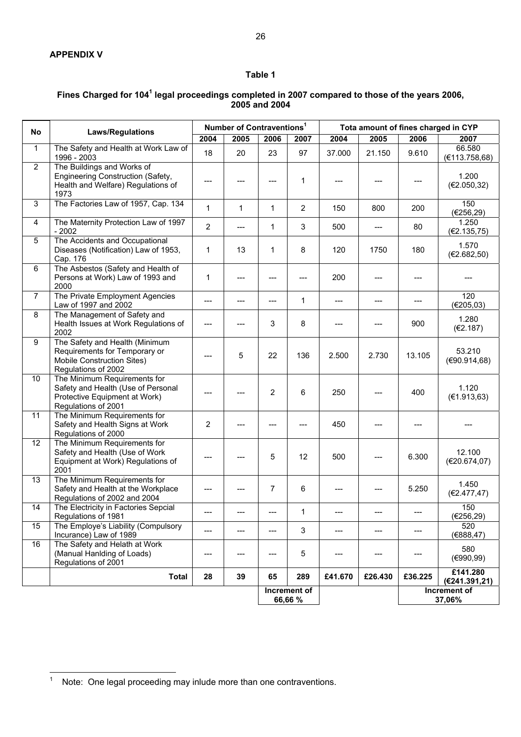## **Table 1**

## Fines Charged for 104<sup>1</sup> legal proceedings completed in 2007 compared to those of the years 2006, **2005 and 2004**

| <b>No</b>       | <b>Laws/Regulations</b>                                                                                                    |                | Number of Contraventions <sup>1</sup> |                |                         |         |         |         | Tota amount of fines charged in CYP |
|-----------------|----------------------------------------------------------------------------------------------------------------------------|----------------|---------------------------------------|----------------|-------------------------|---------|---------|---------|-------------------------------------|
|                 |                                                                                                                            | 2004           | 2005                                  | 2006           | 2007                    | 2004    | 2005    | 2006    | 2007                                |
| $\mathbf{1}$    | The Safety and Health at Work Law of<br>1996 - 2003                                                                        | 18             | 20                                    | 23             | 97                      | 37.000  | 21.150  | 9.610   | 66.580<br>(E113.758,68)             |
| $\overline{2}$  | The Buildings and Works of<br>Engineering Construction (Safety,<br>Health and Welfare) Regulations of<br>1973              |                |                                       |                | 1                       |         |         |         | 1.200<br>(E2.050, 32)               |
| $\overline{3}$  | The Factories Law of 1957, Cap. 134                                                                                        | $\mathbf{1}$   | $\mathbf{1}$                          | $\mathbf{1}$   | $\overline{2}$          | 150     | 800     | 200     | 150<br>(E256, 29)                   |
| 4               | The Maternity Protection Law of 1997<br>$-2002$                                                                            | $\overline{2}$ | $---$                                 | $\mathbf{1}$   | 3                       | 500     | $---$   | 80      | 1.250<br>(E2.135,75)                |
| 5               | The Accidents and Occupational<br>Diseases (Notification) Law of 1953,<br>Cap. 176                                         | 1              | 13                                    | $\mathbf{1}$   | 8                       | 120     | 1750    | 180     | 1.570<br>(E2.682, 50)               |
| 6               | The Asbestos (Safety and Health of<br>Persons at Work) Law of 1993 and<br>2000                                             | 1              | ---                                   |                | $---$                   | 200     |         |         |                                     |
| $\overline{7}$  | The Private Employment Agencies<br>Law of 1997 and 2002                                                                    | $---$          | ---                                   | $---$          | $\mathbf{1}$            | $---$   | $---$   | $---$   | 120<br>(€205,03)                    |
| $\overline{8}$  | The Management of Safety and<br>Health Issues at Work Regulations of<br>2002                                               |                |                                       | 3              | 8                       |         |         | 900     | 1.280<br>(E2.187)                   |
| 9               | The Safety and Health (Minimum<br>Requirements for Temporary or<br>Mobile Construction Sites)<br>Regulations of 2002       |                | 5                                     | 22             | 136                     | 2.500   | 2.730   | 13.105  | 53.210<br>(€90.914,68)              |
| 10              | The Minimum Requirements for<br>Safety and Health (Use of Personal<br>Protective Equipment at Work)<br>Regulations of 2001 |                |                                       | $\overline{2}$ | 6                       | 250     |         | 400     | 1.120<br>(E1.913, 63)               |
| 11              | The Minimum Requirements for<br>Safety and Health Signs at Work<br>Regulations of 2000                                     | 2              |                                       |                |                         | 450     |         |         |                                     |
| $\overline{12}$ | The Minimum Requirements for<br>Safety and Health (Use of Work<br>Equipment at Work) Regulations of<br>2001                |                |                                       | 5              | 12                      | 500     |         | 6.300   | 12.100<br>(E20.674,07)              |
| $\overline{13}$ | The Minimum Requirements for<br>Safety and Health at the Workplace<br>Regulations of 2002 and 2004                         |                |                                       | 7              | 6                       |         |         | 5.250   | 1.450<br>(€2.477,47)                |
| 14              | The Electricity in Factories Sepcial<br>Regulations of 1981                                                                |                |                                       |                | 1                       |         |         |         | 150<br>(€256,29)                    |
| 15              | The Employe's Liability (Compulsory<br>Incurance) Law of 1989                                                              | $---$          | $---$                                 | ---            | 3                       | $---$   | $---$   | $---$   | 520<br>(€888,47)                    |
| 16              | The Safety and Helath at Work<br>(Manual Hanlding of Loads)<br>Regulations of 2001                                         | ---            | ---                                   | ---            | 5                       | ---     | ---     | ---     | 580<br>(€990,99)                    |
|                 | <b>Total</b>                                                                                                               | 28             | 39                                    | 65             | 289                     | £41.670 | £26.430 | £36.225 | £141.280<br>(€241.391,21)           |
|                 |                                                                                                                            |                |                                       |                | Increment of<br>66,66 % |         |         |         | Increment of<br>37,06%              |

 $\frac{1}{1}$ Note: One legal proceeding may inlude more than one contraventions.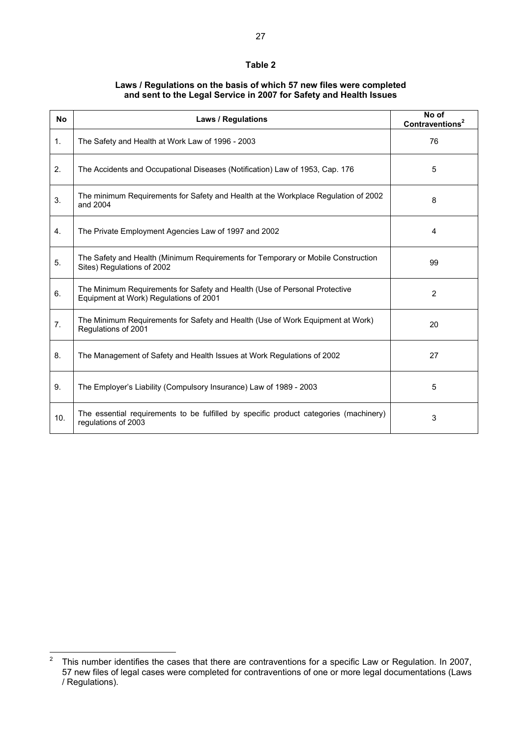## **Table 2**

## **Laws / Regulations on the basis of which 57 new files were completed and sent to the Legal Service in 2007 for Safety and Health Issues**

| <b>No</b>      | <b>Laws / Regulations</b>                                                                                            | No of<br>Contraventions <sup>2</sup> |
|----------------|----------------------------------------------------------------------------------------------------------------------|--------------------------------------|
| $\mathbf{1}$ . | The Safety and Health at Work Law of 1996 - 2003                                                                     | 76                                   |
| 2.             | The Accidents and Occupational Diseases (Notification) Law of 1953, Cap. 176                                         | 5                                    |
| 3.             | The minimum Requirements for Safety and Health at the Workplace Regulation of 2002<br>and 2004                       | 8                                    |
| 4.             | The Private Employment Agencies Law of 1997 and 2002                                                                 | 4                                    |
| 5.             | The Safety and Health (Minimum Requirements for Temporary or Mobile Construction<br>Sites) Regulations of 2002       | 99                                   |
| 6.             | The Minimum Requirements for Safety and Health (Use of Personal Protective<br>Equipment at Work) Regulations of 2001 | 2                                    |
| 7.             | The Minimum Requirements for Safety and Health (Use of Work Equipment at Work)<br>Regulations of 2001                | 20                                   |
| 8.             | The Management of Safety and Health Issues at Work Regulations of 2002                                               | 27                                   |
| 9.             | The Employer's Liability (Compulsory Insurance) Law of 1989 - 2003                                                   | 5                                    |
| 10.            | The essential requirements to be fulfilled by specific product categories (machinery)<br>regulations of 2003         | 3                                    |

 $\frac{1}{2}$  This number identifies the cases that there are contraventions for a specific Law or Regulation. In 2007, 57 new files of legal cases were completed for contraventions of one or more legal documentations (Laws / Regulations).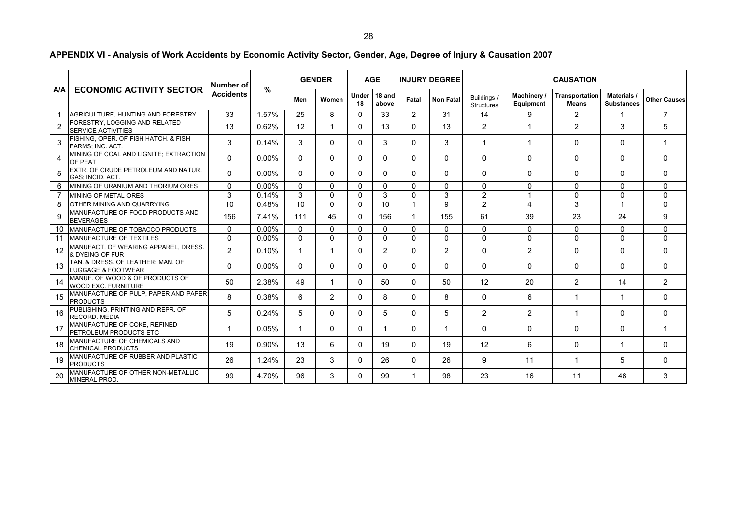**Men Women Under 1818 and Fatal | Non Fatal | Buildings / above | Fatal | Non Fatal | Structures Machinery / Equipment Transportation Means Materials / Substances Other Causes** 1**AGRICULTURE, HUNTING AND FORESTRY** 33 1.57% 25 8 0 33 2 31 2 4 9 2 2 1 1 7 2FORESTRY, LOGGING AND RELATED<br>SERVICE ACTIVITIES 13 0.62% 12 1 0 13 0 13 0 13 2 1 2 3 3 5 3 FISHING, OPER. OF FISH HATCH. & FISH FARMS; INC. ACT. <sup>3</sup> 0.14% <sup>3</sup> <sup>0</sup> <sup>0</sup> <sup>3</sup> <sup>0</sup> <sup>3</sup> <sup>1</sup> <sup>1</sup> <sup>0</sup> <sup>0</sup> <sup>1</sup> 4MINING OF COAL AND LIGNITE; EXTRACTION<br>OF PEAT <sup>0</sup> 0.00% <sup>0</sup> <sup>0</sup> <sup>0</sup> <sup>0</sup> <sup>0</sup> <sup>0</sup> <sup>0</sup> <sup>0</sup> <sup>0</sup> <sup>0</sup> <sup>0</sup> 5 EXTR. OF CRUDE PETROLEUM AND NATUR. GAS; INCID. ACT. <sup>0</sup> 0.00% <sup>0</sup> <sup>0</sup> <sup>0</sup> <sup>0</sup> <sup>0</sup> <sup>0</sup> <sup>0</sup> <sup>0</sup> <sup>0</sup> <sup>0</sup> <sup>0</sup> 6 MINING OF URANIUM AND THORIUM ORES 0 0.00% 0 0 0 0 0 0 0 0 0 0 0 7MINING OF METAL ORES 8 3 0.14% 3 0 0.14% 3 0 0 3 0 3 0 3 2 1 1 0 0 0 0 0 8 OTHER MINING AND QUARRYING 10 0.48% 10 0 0 10 1 9 2 4 3 1 09MANUFACTURE OF FOOD PRODUCTS AND 156 | 17.41% | 17.41% | 111 | 45 | 0 | 156 | 1 | 155 | 051 | 159 | 23 | 24 | 9 10 MANUFACTURE OF TOBACCO PRODUCTS 0 0.00% 0 0 0 0 0 0 0 0 0 0 0 11 MANUFACTURE OF TEXTILES 0 0.00% 0 0 0 0 0 0 0 0 0 0 012 MANUFACT. OF WEARING APPAREL, DRESS. & DYEING OF FURR MEANWARD MEDDE 2 0.10% 1 1 0 2 0 2 0 2 0 2 0 2 0 0 0 0 13 TAN. & DRESS. OF LEATHER; MAN. OF LUGGAGE & FOOTWEAR <sup>0</sup> 0.00% <sup>0</sup> <sup>0</sup> <sup>0</sup> <sup>0</sup> <sup>0</sup> <sup>0</sup> <sup>0</sup> <sup>0</sup> <sup>0</sup> <sup>0</sup> <sup>0</sup> 14MANUF. OF WOOD & OF PRODUCTS OF WOOD EXC. FURNITURE F RODOOTOOT | 50 | 2.38% | 49 | 1 | 0 | 50 | 0 | 50 | 12 | 20 | 2 | 14 | 2 15MANUFACTURE OF PULP, PAPER AND PAPER<br>PRODUCTS <sup>8</sup> 0.38% <sup>6</sup> <sup>2</sup> <sup>0</sup> <sup>8</sup> <sup>0</sup> <sup>8</sup> <sup>0</sup> <sup>6</sup> <sup>1</sup> <sup>1</sup> <sup>0</sup> 16PUBLISHING, PRINTING AND REPR. OF<br>RECORD. MEDIA <sup>5</sup> 0.24% <sup>5</sup> <sup>0</sup> <sup>0</sup> <sup>5</sup> <sup>0</sup> <sup>5</sup> <sup>2</sup> <sup>2</sup> <sup>1</sup> <sup>0</sup> <sup>0</sup> 17MANUFACTURE OF COKE, REFINED<br>PETROLEUM PRODUCTS ETC <sup>1</sup> 0.05% <sup>1</sup> <sup>0</sup> <sup>0</sup> <sup>1</sup> <sup>0</sup> <sup>1</sup> <sup>0</sup> <sup>0</sup> <sup>0</sup> <sup>0</sup> <sup>1</sup> 18 MANUFACTURE OF CHEMICALS AND CHEMICAL PRODUCTS10. Allie And D.40 19 | 0.90 10 | 13 | 6 | 0 | 19 | 0 | 19 | 12 | 6 | 0 | 1 | 0<br>S 19MANUFACTURE OF RUBBER AND PLASTIC<br>PRODUCTS <sup>26</sup> 1.24% <sup>23</sup> <sup>3</sup> <sup>0</sup> <sup>26</sup> <sup>0</sup> <sup>26</sup> <sup>9</sup> <sup>11</sup> <sup>1</sup> <sup>5</sup> <sup>0</sup> 20MANUFACTURE OF OTHER NON-METALLIC<br>MINERAL PROD. 99 | 4.70% | 96 | 3 | 0 | 99 | 1 | 98 | 23 | 16 | 11 | 46 | 3 **INJURY DEGREEGENDER CAUSATION AGE Α/Α ECONOMIC ACTIVITY SECTOR Number of Accidents%**

**APPENDIX VI - Analysis of Work Accidents by Economic Activity Sector, Gender, Age, Degree of Injury & Causation 2007**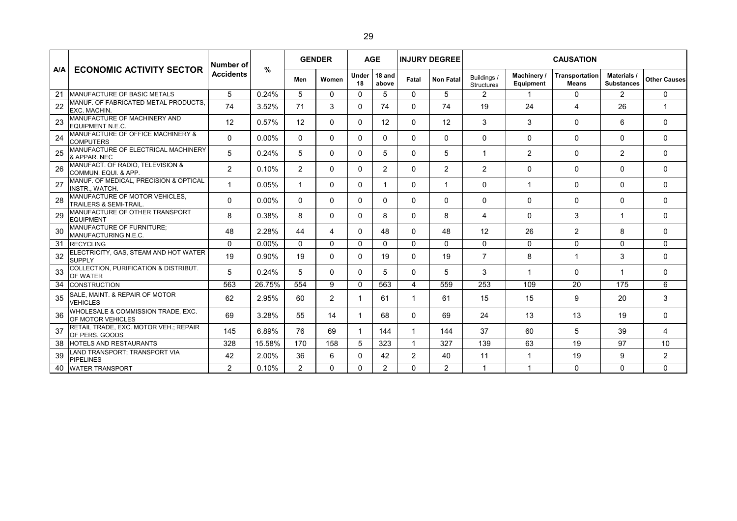|            |                                                                    | Number of        |          |                | <b>GENDER</b> |              | <b>AGE</b>      |             | <b>INJURY DEGREE</b> |                                  |                          | <b>CAUSATION</b>                      |                                         |                     |
|------------|--------------------------------------------------------------------|------------------|----------|----------------|---------------|--------------|-----------------|-------------|----------------------|----------------------------------|--------------------------|---------------------------------------|-----------------------------------------|---------------------|
| <b>A/A</b> | <b>ECONOMIC ACTIVITY SECTOR</b>                                    | <b>Accidents</b> | $\%$     | Men            | Women         | Under<br>18  | 18 and<br>above | Fatal       | <b>Non Fatal</b>     | Buildings /<br><b>Structures</b> | Machinery /<br>Equipment | <b>Transportation</b><br><b>Means</b> | <b>Materials /</b><br><b>Substances</b> | <b>Other Causes</b> |
| 21         | MANUFACTURE OF BASIC METALS                                        | 5                | 0.24%    | 5              | $\Omega$      | $\Omega$     | 5               | $\Omega$    | 5                    | $\overline{2}$                   | $\mathbf{1}$             | $\mathbf{0}$                          | $\overline{2}$                          | $\mathbf 0$         |
| 22         | MANUF. OF FABRICATED METAL PRODUCTS.<br><b>EXC. MACHIN.</b>        | 74               | 3.52%    | 71             | 3             | $\mathbf{0}$ | 74              | $\Omega$    | 74                   | 19                               | 24                       | 4                                     | 26                                      | 1                   |
| 23         | MANUFACTURE OF MACHINERY AND<br><b>EQUIPMENT N.E.C.</b>            | 12               | 0.57%    | 12             | 0             | $\Omega$     | 12              | $\Omega$    | 12                   | 3                                | 3                        | $\Omega$                              | 6                                       | $\mathbf 0$         |
| 24         | MANUFACTURE OF OFFICE MACHINERY &<br><b>COMPUTERS</b>              | 0                | $0.00\%$ | $\mathbf{0}$   | 0             | $\mathbf{0}$ | 0               | 0           | $\mathbf{0}$         | 0                                | 0                        | $\mathbf{0}$                          | 0                                       | $\mathbf 0$         |
| 25         | MANUFACTURE OF ELECTRICAL MACHINERY<br>& APPAR. NEC                | 5                | 0.24%    | 5              | 0             | 0            | 5               | $\Omega$    | 5                    |                                  | 2                        | $\mathbf{0}$                          | $\overline{2}$                          | $\mathbf{0}$        |
| 26         | MANUFACT. OF RADIO, TELEVISION &<br>COMMUN. EQUI. & APP.           | $\overline{2}$   | 0.10%    | $\overline{2}$ | 0             | $\Omega$     | $\overline{2}$  | $\Omega$    | 2                    | 2                                | $\mathbf{0}$             | $\Omega$                              | $\Omega$                                | $\Omega$            |
| 27         | MANUF. OF MEDICAL, PRECISION & OPTICAL<br>INSTR., WATCH.           | 1                | 0.05%    | 1              | $\Omega$      | $\mathbf{0}$ | 1               | $\Omega$    | 1                    | $\Omega$                         | 1                        | 0                                     | 0                                       | $\mathbf{0}$        |
| 28         | MANUFACTURE OF MOTOR VEHICLES.<br><b>TRAILERS &amp; SEMI-TRAIL</b> | 0                | $0.00\%$ | $\Omega$       | 0             | 0            | 0               | $\Omega$    | $\mathbf{0}$         | $\mathbf 0$                      | 0                        | $\Omega$                              | $\Omega$                                | $\mathbf 0$         |
| 29         | MANUFACTURE OF OTHER TRANSPORT<br><b>EQUIPMENT</b>                 | 8                | 0.38%    | 8              | 0             | $\mathbf{0}$ | 8               | $\Omega$    | 8                    | 4                                | $\mathbf{0}$             | 3                                     | 1                                       | $\Omega$            |
| 30         | <b>MANUFACTURE OF FURNITURE:</b><br>MANUFACTURING N.E.C.           | 48               | 2.28%    | 44             | 4             | $\mathbf{0}$ | 48              | $\Omega$    | 48                   | 12                               | 26                       | $\overline{2}$                        | 8                                       | 0                   |
| 31         | <b>RECYCLING</b>                                                   | 0                | $0.00\%$ | $\Omega$       | $\Omega$      | $\Omega$     | $\Omega$        | $\Omega$    | $\mathbf{0}$         | $\Omega$                         | $\mathbf 0$              | $\Omega$                              | $\Omega$                                | $\mathbf 0$         |
| 32         | ELECTRICITY, GAS, STEAM AND HOT WATER<br><b>SUPPLY</b>             | 19               | 0.90%    | 19             | 0             | $\mathbf{0}$ | 19              | 0           | 19                   | $\overline{7}$                   | 8                        | -1                                    | 3                                       | $\mathbf 0$         |
| 33         | COLLECTION, PURIFICATION & DISTRIBUT.<br>OF WATER                  | 5                | 0.24%    | 5              | 0             | $\mathbf{0}$ | 5               | 0           | 5                    | 3                                | -1                       | 0                                     | 1                                       | $\Omega$            |
| 34         | <b>CONSTRUCTION</b>                                                | 563              | 26.75%   | 554            | 9             | $\Omega$     | 563             | 4           | 559                  | 253                              | 109                      | 20                                    | 175                                     | 6                   |
| 35         | SALE, MAINT. & REPAIR OF MOTOR<br><b>VEHICLES</b>                  | 62               | 2.95%    | 60             | 2             | $\mathbf 1$  | 61              | $\mathbf 1$ | 61                   | 15                               | 15                       | 9                                     | 20                                      | 3                   |
| 36         | WHOLESALE & COMMISSION TRADE, EXC.<br>OF MOTOR VEHICLES            | 69               | 3.28%    | 55             | 14            | 1            | 68              | 0           | 69                   | 24                               | 13                       | 13                                    | 19                                      | $\Omega$            |
| 37         | RETAIL TRADE, EXC. MOTOR VEH.; REPAIR<br>OF PERS. GOODS            | 145              | 6.89%    | 76             | 69            | $\mathbf 1$  | 144             | -1          | 144                  | 37                               | 60                       | 5                                     | 39                                      | $\overline{4}$      |
| 38         | <b>HOTELS AND RESTAURANTS</b>                                      | 328              | 15.58%   | 170            | 158           | 5            | 323             | -1          | 327                  | 139                              | 63                       | 19                                    | 97                                      | 10                  |
| 39         | LAND TRANSPORT; TRANSPORT VIA<br><b>PIPELINES</b>                  | 42               | 2.00%    | 36             | 6             | 0            | 42              | 2           | 40                   | 11                               | 1                        | 19                                    | 9                                       | 2                   |
|            | 40 WATER TRANSPORT                                                 | $\overline{2}$   | 0.10%    | $\overline{2}$ | $\Omega$      | $\Omega$     | 2               | $\Omega$    | 2                    |                                  |                          | $\Omega$                              | $\Omega$                                | $\Omega$            |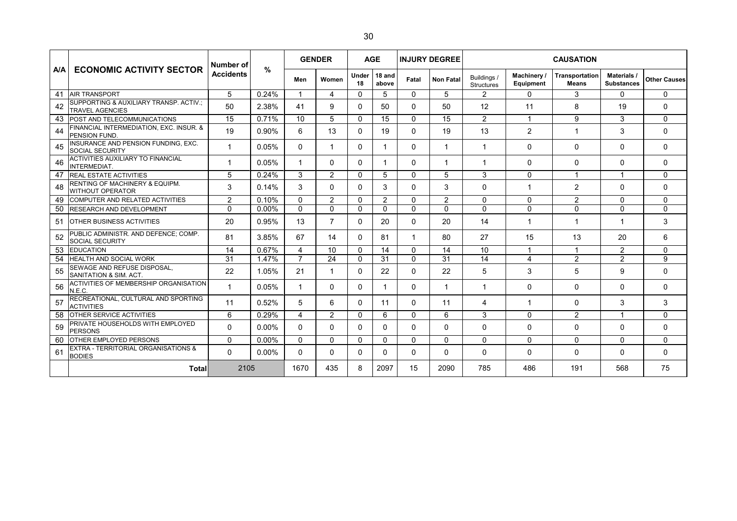|     |                                                                  | Number of        |               |                |                |              | <b>GENDER</b>   |          | <b>AGE</b>       |                                  | <b>INJURY DEGREE</b>          |                                |                                  | <b>CAUSATION</b>    |  |  |
|-----|------------------------------------------------------------------|------------------|---------------|----------------|----------------|--------------|-----------------|----------|------------------|----------------------------------|-------------------------------|--------------------------------|----------------------------------|---------------------|--|--|
| A/A | <b>ECONOMIC ACTIVITY SECTOR</b>                                  | <b>Accidents</b> | $\frac{9}{6}$ | Men            | Women          | Under<br>18  | 18 and<br>above | Fatal    | <b>Non Fatal</b> | Buildings /<br><b>Structures</b> | <b>Machinery</b><br>Equipment | Transportation<br><b>Means</b> | Materials /<br><b>Substances</b> | <b>Other Causes</b> |  |  |
| 41  | <b>AIR TRANSPORT</b>                                             | 5                | 0.24%         | 1              | 4              | $\Omega$     | 5               | $\Omega$ | 5                | $\overline{2}$                   | $\mathbf{0}$                  | 3                              | 0                                | 0                   |  |  |
| 42  | SUPPORTING & AUXILIARY TRANSP. ACTIV.:<br><b>TRAVEL AGENCIES</b> | 50               | 2.38%         | 41             | 9              | 0            | 50              | $\Omega$ | 50               | 12                               | 11                            | 8                              | 19                               | 0                   |  |  |
| 43  | POST AND TELECOMMUNICATIONS                                      | 15               | 0.71%         | 10             | 5              | $\mathbf{0}$ | 15              | $\Omega$ | 15               | 2                                | 1                             | 9                              | 3                                | 0                   |  |  |
| 44  | FINANCIAL INTERMEDIATION, EXC. INSUR. &<br>PENSION FUND.         | 19               | 0.90%         | 6              | 13             | $\Omega$     | 19              | $\Omega$ | 19               | 13                               | 2                             | 1                              | 3                                | $\Omega$            |  |  |
| 45  | INSURANCE AND PENSION FUNDING, EXC.<br><b>SOCIAL SECURITY</b>    | 1                | 0.05%         | 0              | 1              | $\mathbf{0}$ | 1               | 0        |                  |                                  | 0                             | $\Omega$                       | 0                                | 0                   |  |  |
| 46  | ACTIVITIES AUXILIARY TO FINANCIAL<br>INTERMEDIAT.                | 1                | 0.05%         |                | 0              | 0            | 1               | 0        | $\overline{1}$   | 1                                | 0                             | 0                              | 0                                | 0                   |  |  |
| 47  | <b>REAL ESTATE ACTIVITIES</b>                                    | 5                | 0.24%         | 3              | $\overline{2}$ | $\Omega$     | 5               | $\Omega$ | 5                | 3                                | $\mathbf 0$                   | 1                              | 1                                | 0                   |  |  |
| 48  | RENTING OF MACHINERY & EQUIPM.<br><b>WITHOUT OPERATOR</b>        | 3                | 0.14%         | 3              | 0              | $\Omega$     | 3               | 0        | 3                | $\Omega$                         | -1                            | $\overline{2}$                 | $\Omega$                         | 0                   |  |  |
| 49  | COMPUTER AND RELATED ACTIVITIES                                  | $\overline{2}$   | 0.10%         | $\Omega$       | 2              | $\Omega$     | 2               | $\Omega$ | 2                | $\mathbf{0}$                     | 0                             | 2                              | 0                                | 0                   |  |  |
| 50  | <b>RESEARCH AND DEVELOPMENT</b>                                  | $\Omega$         | $0.00\%$      | $\Omega$       | $\Omega$       | $\Omega$     | $\Omega$        | $\Omega$ | $\mathbf 0$      | $\Omega$                         | $\mathbf 0$                   | $\Omega$                       | $\Omega$                         | 0                   |  |  |
| 51  | <b>OTHER BUSINESS ACTIVITIES</b>                                 | 20               | 0.95%         | 13             | 7              | $\mathbf{0}$ | 20              | $\Omega$ | 20               | 14                               |                               | 1                              | 1                                | 3                   |  |  |
| 52  | PUBLIC ADMINISTR. AND DEFENCE; COMP.<br><b>SOCIAL SECURITY</b>   | 81               | 3.85%         | 67             | 14             | 0            | 81              | 1        | 80               | 27                               | 15                            | 13                             | 20                               | 6                   |  |  |
| 53  | <b>EDUCATION</b>                                                 | 14               | 0.67%         | 4              | 10             | $\Omega$     | 14              | $\Omega$ | 14               | 10                               | 1                             | 1                              | $\overline{2}$                   | $\Omega$            |  |  |
| 54  | <b>HEALTH AND SOCIAL WORK</b>                                    | 31               | 1.47%         | $\overline{7}$ | 24             | $\mathbf{0}$ | 31              | $\Omega$ | 31               | 14                               | 4                             | 2                              | $\overline{2}$                   | 9                   |  |  |
| 55  | SEWAGE AND REFUSE DISPOSAL,<br>SANITATION & SIM. ACT.            | 22               | 1.05%         | 21             | 1              | 0            | 22              | $\Omega$ | 22               | 5                                | 3                             | 5                              | 9                                | $\mathbf{0}$        |  |  |
| 56  | <b>ACTIVITIES OF MEMBERSHIP ORGANISATION</b><br>N.E.C.           | 1                | 0.05%         |                | 0              | 0            | 1               | $\Omega$ | $\mathbf 1$      |                                  | $\mathbf 0$                   | $\Omega$                       | 0                                | 0                   |  |  |
| 57  | RECREATIONAL, CULTURAL AND SPORTING<br><b>ACTIVITIES</b>         | 11               | 0.52%         | 5              | 6              | $\Omega$     | 11              | $\Omega$ | 11               | 4                                | $\mathbf 1$                   | $\Omega$                       | 3                                | 3                   |  |  |
| 58  | <b>OTHER SERVICE ACTIVITIES</b>                                  | 6                | 0.29%         | 4              | 2              | $\Omega$     | 6               | $\Omega$ | 6                | 3                                | $\mathbf{0}$                  | $\overline{2}$                 | 1                                | 0                   |  |  |
| 59  | PRIVATE HOUSEHOLDS WITH EMPLOYED<br><b>PERSONS</b>               | $\Omega$         | $0.00\%$      | $\Omega$       | 0              | 0            | 0               | $\Omega$ | $\mathbf{0}$     | $\Omega$                         | $\mathbf 0$                   | $\Omega$                       | 0                                | 0                   |  |  |
| 60  | <b>OTHER EMPLOYED PERSONS</b>                                    | $\mathbf{0}$     | $0.00\%$      | $\mathbf{0}$   | 0              | $\mathbf{0}$ | $\mathbf{0}$    | $\Omega$ | $\mathbf{0}$     | $\mathbf{0}$                     | $\mathbf{0}$                  | $\Omega$                       | 0                                | $\Omega$            |  |  |
| 61  | EXTRA - TERRITORIAL ORGANISATIONS &<br><b>BODIES</b>             | $\Omega$         | $0.00\%$      | $\Omega$       | 0              | 0            | 0               | $\Omega$ | $\mathbf{0}$     | $\mathbf{0}$                     | $\mathbf{0}$                  | $\Omega$                       | 0                                | $\Omega$            |  |  |
|     | Totall                                                           | 2105             |               | 1670           | 435            | 8            | 2097            | 15       | 2090             | 785                              | 486                           | 191                            | 568                              | 75                  |  |  |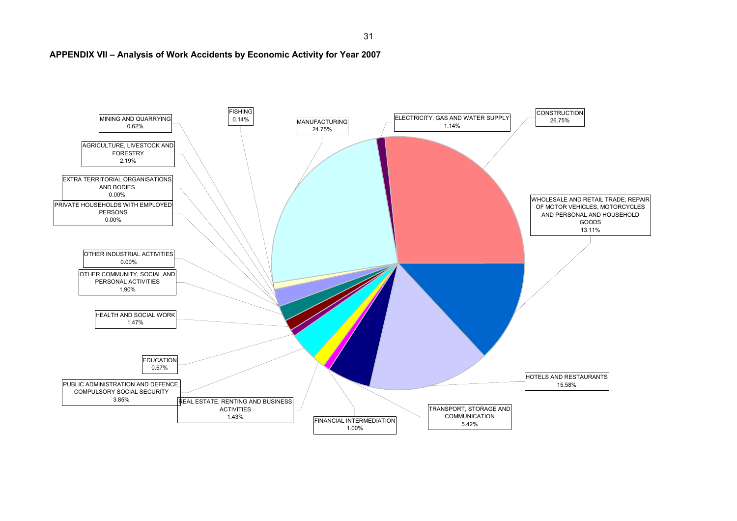

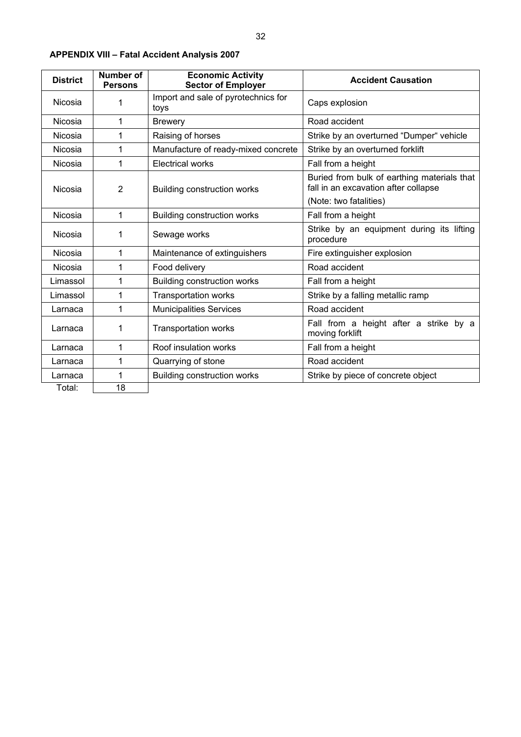| ×<br>۰. |  |
|---------|--|
|         |  |

| <b>District</b>           | Number of<br><b>Persons</b> | <b>Economic Activity</b><br><b>Sector of Employer</b> | <b>Accident Causation</b>                                                           |  |  |  |  |  |
|---------------------------|-----------------------------|-------------------------------------------------------|-------------------------------------------------------------------------------------|--|--|--|--|--|
| Nicosia                   | 1                           | Import and sale of pyrotechnics for<br>toys           | Caps explosion                                                                      |  |  |  |  |  |
| Nicosia                   | 1                           | <b>Brewery</b>                                        | Road accident                                                                       |  |  |  |  |  |
| Nicosia                   | 1                           | Raising of horses                                     | Strike by an overturned "Dumper" vehicle                                            |  |  |  |  |  |
| Nicosia                   | 1                           | Manufacture of ready-mixed concrete                   | Strike by an overturned forklift                                                    |  |  |  |  |  |
| Nicosia                   | 1                           | <b>Electrical works</b>                               | Fall from a height                                                                  |  |  |  |  |  |
| $\overline{2}$<br>Nicosia |                             | <b>Building construction works</b>                    | Buried from bulk of earthing materials that<br>fall in an excavation after collapse |  |  |  |  |  |
|                           |                             |                                                       | (Note: two fatalities)                                                              |  |  |  |  |  |
| Nicosia                   | 1                           | <b>Building construction works</b>                    | Fall from a height                                                                  |  |  |  |  |  |
| Nicosia                   | 1                           | Sewage works                                          | Strike by an equipment during its lifting<br>procedure                              |  |  |  |  |  |
| Nicosia                   | 1                           | Maintenance of extinguishers                          | Fire extinguisher explosion                                                         |  |  |  |  |  |
| Nicosia                   | 1                           | Food delivery                                         | Road accident                                                                       |  |  |  |  |  |
| Limassol                  | 1                           | <b>Building construction works</b>                    | Fall from a height                                                                  |  |  |  |  |  |
| Limassol                  | 1                           | <b>Transportation works</b>                           | Strike by a falling metallic ramp                                                   |  |  |  |  |  |
| Larnaca                   | 1                           | <b>Municipalities Services</b>                        | Road accident                                                                       |  |  |  |  |  |
| Larnaca                   | 1                           | <b>Transportation works</b>                           | Fall from a height after a strike by a<br>moving forklift                           |  |  |  |  |  |
| Larnaca                   | 1                           | Roof insulation works                                 | Fall from a height                                                                  |  |  |  |  |  |
| Larnaca                   | 1                           | Quarrying of stone                                    | Road accident                                                                       |  |  |  |  |  |
| Larnaca                   | 1                           | <b>Building construction works</b>                    | Strike by piece of concrete object                                                  |  |  |  |  |  |
| Total:                    | 18                          |                                                       |                                                                                     |  |  |  |  |  |

# **APPENDIX VIII – Fatal Accident Analysis 2007**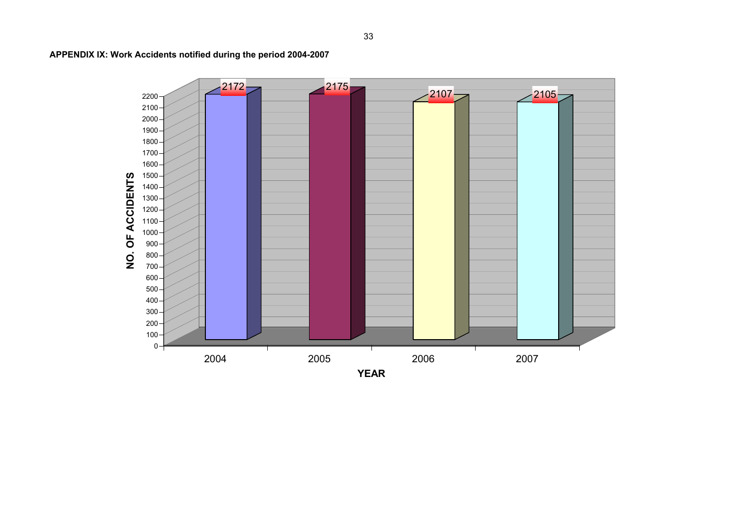

**APPENDIX IX: Work Accidents notified during the period 2004-2007**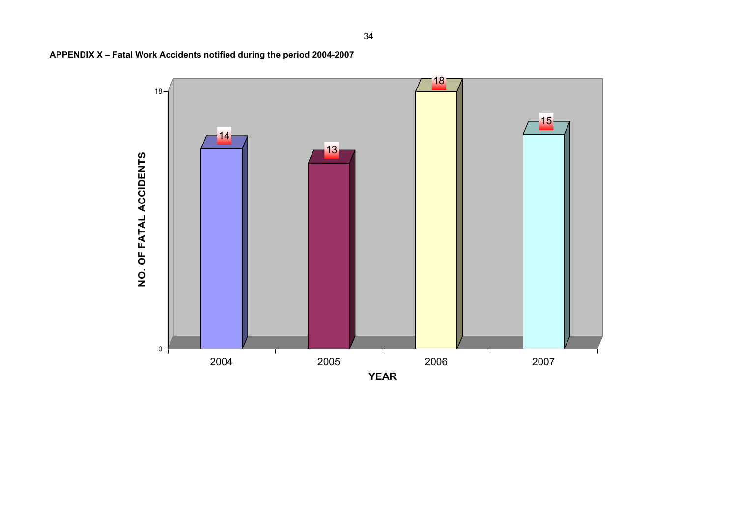**APPENDIX X – Fatal Work Accidents notified during the period 2004-2007** 



34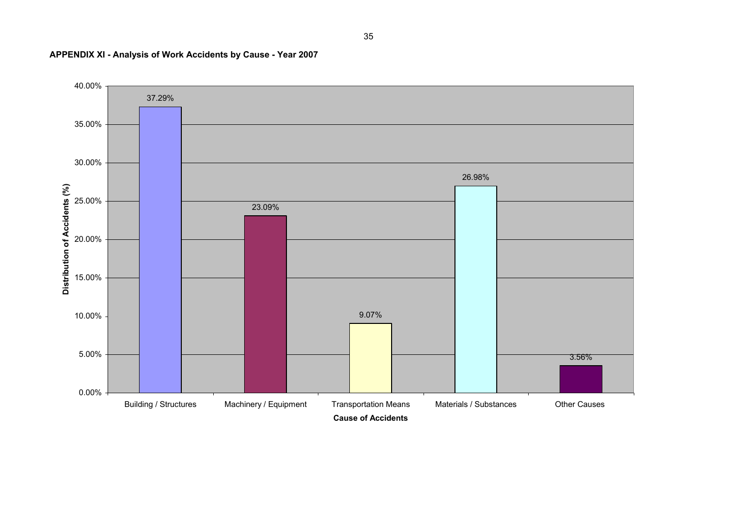

## **APPENDIX XI - Analysis of Work Accidents by Cause - Year 2007**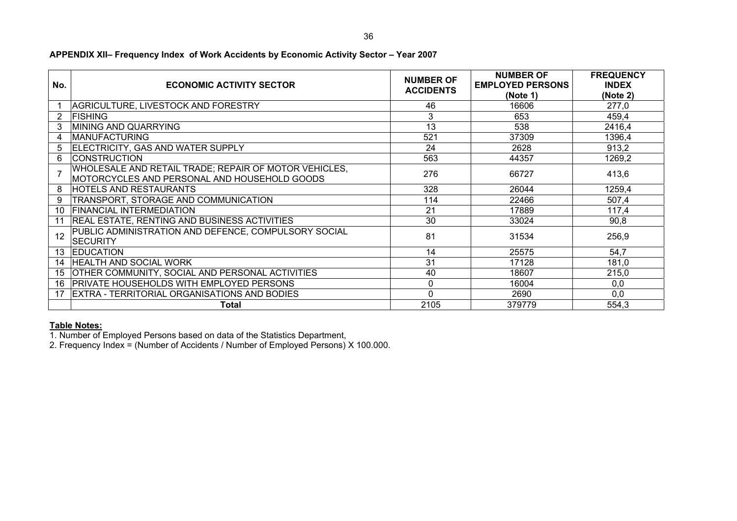| No. | <b>ECONOMIC ACTIVITY SECTOR</b>                                                                       | <b>NUMBER OF</b><br><b>ACCIDENTS</b> | <b>NUMBER OF</b><br><b>EMPLOYED PERSONS</b><br>(Note 1) | <b>FREQUENCY</b><br><b>INDEX</b><br>(Note 2) |
|-----|-------------------------------------------------------------------------------------------------------|--------------------------------------|---------------------------------------------------------|----------------------------------------------|
|     | AGRICULTURE, LIVESTOCK AND FORESTRY                                                                   | 46                                   | 16606                                                   | 277,0                                        |
| 2   | <b>FISHING</b>                                                                                        | 3                                    | 653                                                     | 459,4                                        |
| 3   | MINING AND QUARRYING                                                                                  | 13                                   | 538                                                     | 2416,4                                       |
| 4   | <b>MANUFACTURING</b>                                                                                  | 521                                  | 37309                                                   | 1396,4                                       |
| 5   | ELECTRICITY, GAS AND WATER SUPPLY                                                                     | 24                                   | 2628                                                    | 913,2                                        |
| 6   | <b>CONSTRUCTION</b>                                                                                   | 563                                  | 44357                                                   | 1269,2                                       |
| 7   | WHOLESALE AND RETAIL TRADE; REPAIR OF MOTOR VEHICLES,<br>MOTORCYCLES AND PERSONAL AND HOUSEHOLD GOODS | 276                                  | 66727                                                   | 413,6                                        |
| 8   | <b>HOTELS AND RESTAURANTS</b>                                                                         | 328                                  | 26044                                                   | 1259,4                                       |
| 9   | TRANSPORT, STORAGE AND COMMUNICATION                                                                  | 114                                  | 22466                                                   | 507,4                                        |
| 10  | <b>FINANCIAL INTERMEDIATION</b>                                                                       | 21                                   | 17889                                                   | 117,4                                        |
|     | <b>REAL ESTATE, RENTING AND BUSINESS ACTIVITIES</b>                                                   | 30                                   | 33024                                                   | 90,8                                         |
| 12  | PUBLIC ADMINISTRATION AND DEFENCE, COMPULSORY SOCIAL<br><b>SECURITY</b>                               | 81                                   | 31534                                                   | 256,9                                        |
| 13  | <b>EDUCATION</b>                                                                                      | 14                                   | 25575                                                   | 54,7                                         |
| 14  | <b>HEALTH AND SOCIAL WORK</b>                                                                         | 31                                   | 17128                                                   | 181,0                                        |
| 15  | OTHER COMMUNITY, SOCIAL AND PERSONAL ACTIVITIES                                                       | 40                                   | 18607                                                   | 215,0                                        |
| 16  | <b>PRIVATE HOUSEHOLDS WITH EMPLOYED PERSONS</b>                                                       | 0                                    | 16004                                                   | 0,0                                          |
| 17  | <b>EXTRA - TERRITORIAL ORGANISATIONS AND BODIES</b>                                                   | $\Omega$                             | 2690                                                    | 0,0                                          |
|     | Total                                                                                                 | 2105                                 | 379779                                                  | 554,3                                        |

## **APPENDIX XII– Frequency Index of Work Accidents by Economic Activity Sector – Year 2007**

**Table Notes:** 1. Number of Employed Persons based on data of the Statistics Department,

2. Frequency Index = (Number of Accidents / Number of Employed Persons) Χ 100.000.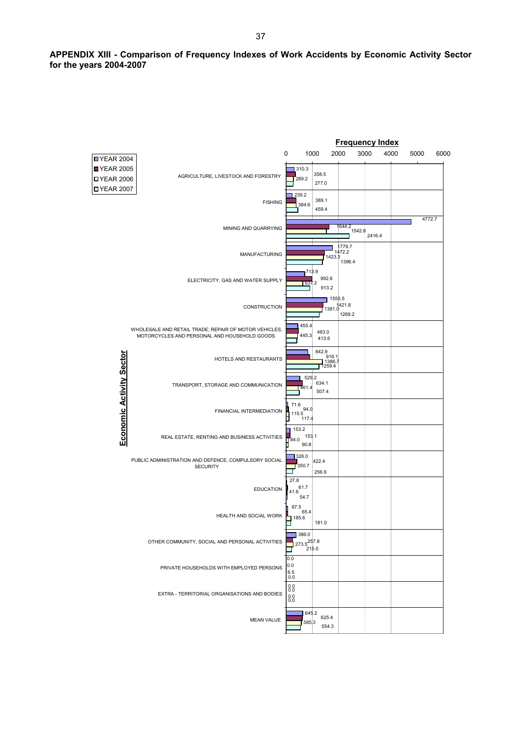**APPENDIX XIII - Comparison of Frequency Indexes of Work Accidents by Economic Activity Sector for the years 2004-2007** 

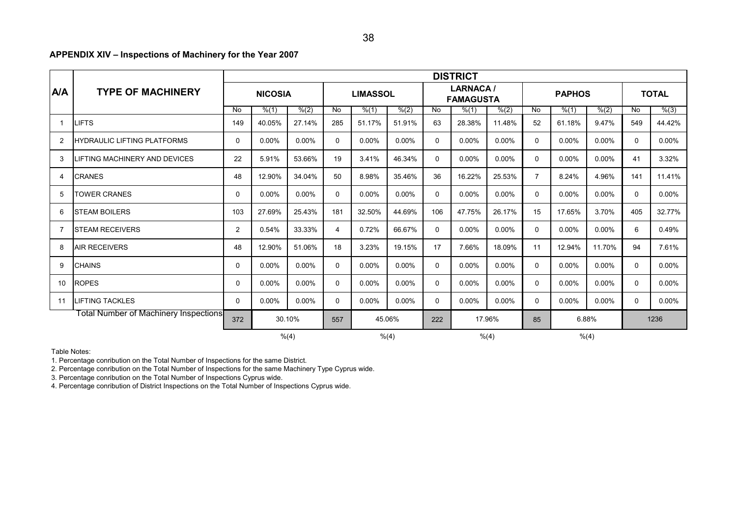## **APPENDIX XIV – Inspections of Machinery for the Year 2007**

|     |                                       | <b>DISTRICT</b> |                         |          |                 |          |                                     |             |          |               |                |          |              |                |          |
|-----|---------------------------------------|-----------------|-------------------------|----------|-----------------|----------|-------------------------------------|-------------|----------|---------------|----------------|----------|--------------|----------------|----------|
| A/A | <b>TYPE OF MACHINERY</b>              | <b>NICOSIA</b>  |                         |          | <b>LIMASSOL</b> |          | <b>LARNACA/</b><br><b>FAMAGUSTA</b> |             |          | <b>PAPHOS</b> |                |          | <b>TOTAL</b> |                |          |
|     |                                       | No.             | % (1)                   | % (2)    | No              | % (1)    | % (2)                               | No          | % (1)    | % (2)         | No             | % (1)    | % (2)        | $\overline{N}$ | % (3)    |
|     | <b>LIFTS</b>                          | 149             | 40.05%                  | 27.14%   | 285             | 51.17%   | 51.91%                              | 63          | 28.38%   | 11.48%        | 52             | 61.18%   | 9.47%        | 549            | 44.42%   |
| 2   | <b>HYDRAULIC LIFTING PLATFORMS</b>    | $\mathbf{0}$    | $0.00\%$                | $0.00\%$ | $\Omega$        | $0.00\%$ | $0.00\%$                            | 0           | $0.00\%$ | $0.00\%$      | $\mathbf{0}$   | $0.00\%$ | $0.00\%$     | $\Omega$       | $0.00\%$ |
| 3   | LIFTING MACHINERY AND DEVICES         | 22              | 5.91%                   | 53.66%   | 19              | 3.41%    | 46.34%                              | 0           | $0.00\%$ | $0.00\%$      | $\mathbf{0}$   | 0.00%    | $0.00\%$     | 41             | 3.32%    |
| 4   | <b>CRANES</b>                         | 48              | 12.90%                  | 34.04%   | 50              | 8.98%    | 35.46%                              | 36          | 16.22%   | 25.53%        | $\overline{7}$ | 8.24%    | 4.96%        | 141            | 11.41%   |
| 5   | <b>TOWER CRANES</b>                   | $\mathbf{0}$    | 0.00%                   | $0.00\%$ | $\mathbf{0}$    | $0.00\%$ | 0.00%                               | 0           | 0.00%    | $0.00\%$      | $\mathbf{0}$   | 0.00%    | $0.00\%$     | $\mathbf{0}$   | $0.00\%$ |
| 6   | <b>STEAM BOILERS</b>                  | 103             | 27.69%                  | 25.43%   | 181             | 32.50%   | 44.69%                              | 106         | 47.75%   | 26.17%        | 15             | 17.65%   | 3.70%        | 405            | 32.77%   |
|     | <b>STEAM RECEIVERS</b>                | $\overline{2}$  | 0.54%                   | 33.33%   | 4               | 0.72%    | 66.67%                              | $\mathbf 0$ | $0.00\%$ | $0.00\%$      | $\mathbf 0$    | $0.00\%$ | $0.00\%$     | 6              | 0.49%    |
| 8   | <b>AIR RECEIVERS</b>                  | 48              | 12.90%                  | 51.06%   | 18              | 3.23%    | 19.15%                              | 17          | 7.66%    | 18.09%        | 11             | 12.94%   | 11.70%       | 94             | 7.61%    |
| 9   | <b>CHAINS</b>                         | $\mathbf 0$     | 0.00%                   | $0.00\%$ | 0               | $0.00\%$ | $0.00\%$                            | 0           | $0.00\%$ | $0.00\%$      | $\mathbf 0$    | 0.00%    | $0.00\%$     | $\Omega$       | $0.00\%$ |
| 10  | <b>ROPES</b>                          | 0               | 0.00%                   | 0.00%    | $\Omega$        | 0.00%    | $0.00\%$                            | 0           | 0.00%    | $0.00\%$      | $\mathbf{0}$   | 0.00%    | $0.00\%$     | $\Omega$       | $0.00\%$ |
| 11  | <b>LIFTING TACKLES</b>                | $\mathbf{0}$    | 0.00%                   | $0.00\%$ | $\Omega$        | 0.00%    | 0.00%                               | 0           | 0.00%    | 0.00%         | 0              | 0.00%    | 0.00%        | $\Omega$       | $0.00\%$ |
|     | Fotal Number of Machinery Inspections | 372             | 30.10%<br>45.06%<br>557 |          | 17.96%<br>222   |          |                                     | 85          | 6.88%    |               |                | 1236     |              |                |          |
|     |                                       |                 |                         | % (4)    |                 |          | % (4)                               |             |          | % (4)         |                |          | % (4)        |                |          |

Table Notes:

1. Percentage conribution on the Total Number of Inspections for the same District.

2. Percentage conribution on the Total Number of Inspections for the same Machinery Type Cyprus wide.

3. Percentage conribution on the Total Number of Inspections Cyprus wide.

4. Percentage conribution of District Inspections on the Total Number of Inspections Cyprus wide.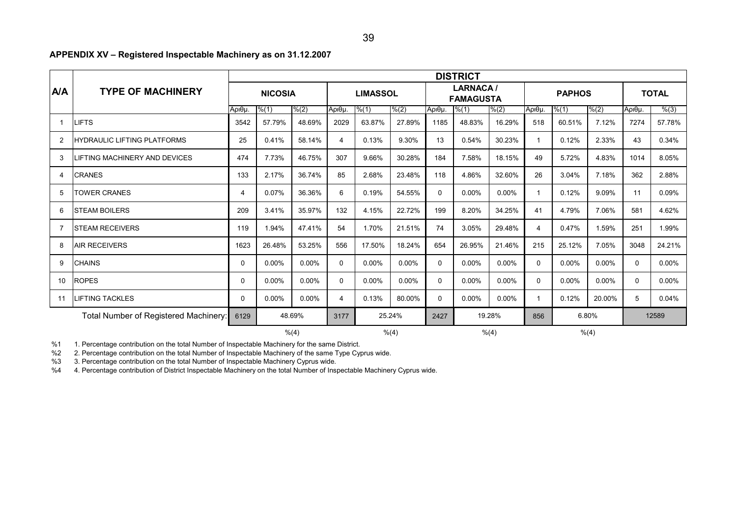## **APPENDIX XV – Registered Inspectable Machinery as on 31.12.2007**

|                |                                       | <b>DISTRICT</b> |          |                |                |                 |                |                                     |          |        |                |          |          |              |          |
|----------------|---------------------------------------|-----------------|----------|----------------|----------------|-----------------|----------------|-------------------------------------|----------|--------|----------------|----------|----------|--------------|----------|
| <b>A/A</b>     | <b>TYPE OF MACHINERY</b>              |                 |          | <b>NICOSIA</b> |                | <b>LIMASSOL</b> |                | <b>LARNACA/</b><br><b>FAMAGUSTA</b> |          |        | <b>PAPHOS</b>  |          |          | <b>TOTAL</b> |          |
|                |                                       | Αριθμ.          | % (1)    | % (2)          | Αριθμ.         | % (1)           | % (2)          | Αριθμ.                              | % (1)    | % (2)  | Αριθμ.         | % (1)    | % (2)    | Αριθμ.       | % (3)    |
|                | <b>LIFTS</b>                          | 3542            | 57.79%   | 48.69%         | 2029           | 63.87%          | 27.89%         | 1185                                | 48.83%   | 16.29% | 518            | 60.51%   | 7.12%    | 7274         | 57.78%   |
| $\overline{2}$ | <b>HYDRAULIC LIFTING PLATFORMS</b>    | 25              | 0.41%    | 58.14%         | $\overline{4}$ | 0.13%           | 9.30%          | 13                                  | 0.54%    | 30.23% | $\mathbf{1}$   | 0.12%    | 2.33%    | 43           | 0.34%    |
| 3              | <b>ILIFTING MACHINERY AND DEVICES</b> | 474             | 7.73%    | 46.75%         | 307            | 9.66%           | 30.28%         | 184                                 | 7.58%    | 18.15% | 49             | 5.72%    | 4.83%    | 1014         | 8.05%    |
| 4              | <b>CRANES</b>                         | 133             | 2.17%    | 36.74%         | 85             | 2.68%           | 23.48%         | 118                                 | 4.86%    | 32.60% | 26             | 3.04%    | 7.18%    | 362          | 2.88%    |
| 5              | <b>TOWER CRANES</b>                   | 4               | 0.07%    | 36.36%         | 6              | 0.19%           | 54.55%         | 0                                   | $0.00\%$ | 0.00%  | $\mathbf 1$    | 0.12%    | 9.09%    | 11           | 0.09%    |
| 6              | <b>STEAM BOILERS</b>                  | 209             | 3.41%    | 35.97%         | 132            | 4.15%           | 22.72%         | 199                                 | 8.20%    | 34.25% | 41             | 4.79%    | 7.06%    | 581          | 4.62%    |
| 7              | <b>ISTEAM RECEIVERS</b>               | 119             | 1.94%    | 47.41%         | 54             | 1.70%           | 21.51%         | 74                                  | 3.05%    | 29.48% | $\overline{4}$ | 0.47%    | 1.59%    | 251          | 1.99%    |
| 8              | <b>AIR RECEIVERS</b>                  | 1623            | 26.48%   | 53.25%         | 556            | 17.50%          | 18.24%         | 654                                 | 26.95%   | 21.46% | 215            | 25.12%   | 7.05%    | 3048         | 24.21%   |
| 9              | <b>CHAINS</b>                         | $\mathbf{0}$    | $0.00\%$ | 0.00%          | 0              | $0.00\%$        | $0.00\%$       | 0                                   | $0.00\%$ | 0.00%  | $\mathbf{0}$   | $0.00\%$ | $0.00\%$ | $\Omega$     | $0.00\%$ |
| 10             | <b>ROPES</b>                          | 0               | $0.00\%$ | 0.00%          | 0              | 0.00%           | 0.00%          | $\mathbf 0$                         | $0.00\%$ | 0.00%  | $\mathbf 0$    | 0.00%    | 0.00%    | $\mathbf 0$  | 0.00%    |
| 11             | <b>LIFTING TACKLES</b>                | 0               | 0.00%    | $0.00\%$       | 4              | 0.13%           | 80.00%         | 0                                   | 0.00%    | 0.00%  | -1             | 0.12%    | 20.00%   | 5            | 0.04%    |
|                | Total Number of Registered Machinery: | 6129            |          | 48.69%         | 3177           |                 | 25.24%         | 2427                                |          | 19.28% | 856            |          | 6.80%    |              | 12589    |
|                |                                       | % (4)<br>% (4)  |          |                |                |                 | % (4)<br>% (4) |                                     |          |        |                |          |          |              |          |

%1 1. Percentage contribution on the total Number of Inspectable Machinery for the same District.

%2 2. Percentage contribution on the total Number of Inspectable Machinery of the same Type Cyprus wide.

%3 3. Percentage contribution on the total Number of Inspectable Machinery Cyprus wide.

%4 4. Percentage contribution of District Inspectable Machinery on the total Number of Inspectable Machinery Cyprus wide.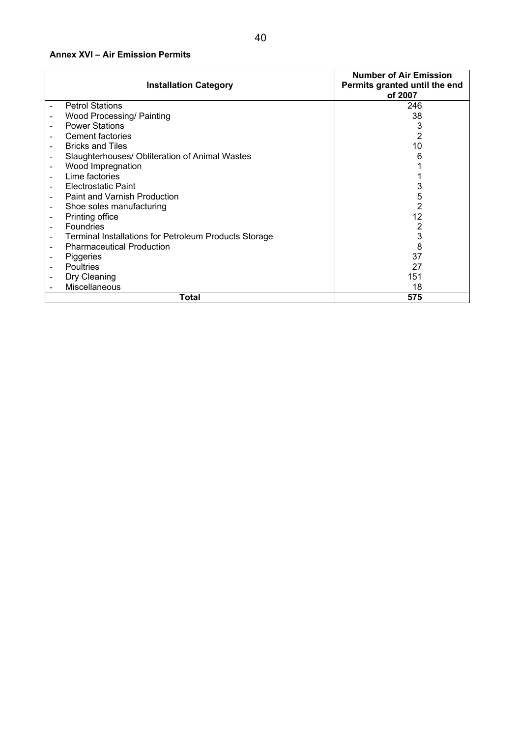## **Annex XVI – Air Emission Permits**

|                          | <b>Installation Category</b>                          | <b>Number of Air Emission</b><br>Permits granted until the end<br>of 2007 |
|--------------------------|-------------------------------------------------------|---------------------------------------------------------------------------|
|                          | <b>Petrol Stations</b>                                | 246                                                                       |
|                          | <b>Wood Processing/ Painting</b>                      | 38                                                                        |
| $\overline{\phantom{a}}$ | <b>Power Stations</b>                                 | 3                                                                         |
|                          | <b>Cement factories</b>                               | 2                                                                         |
| $\overline{\phantom{a}}$ | <b>Bricks and Tiles</b>                               | 10                                                                        |
| $\overline{\phantom{a}}$ | Slaughterhouses/ Obliteration of Animal Wastes        |                                                                           |
| $\overline{\phantom{a}}$ | Wood Impregnation                                     |                                                                           |
|                          | Lime factories                                        |                                                                           |
|                          | Electrostatic Paint                                   |                                                                           |
| $\overline{\phantom{a}}$ | <b>Paint and Varnish Production</b>                   | 5                                                                         |
| $\overline{\phantom{a}}$ | Shoe soles manufacturing                              | 2                                                                         |
|                          | Printing office                                       | 12                                                                        |
|                          | <b>Foundries</b>                                      |                                                                           |
| $\overline{\phantom{a}}$ | Terminal Installations for Petroleum Products Storage | 3                                                                         |
| $\qquad \qquad -$        | <b>Pharmaceutical Production</b>                      | 8                                                                         |
|                          | Piggeries                                             | 37                                                                        |
|                          | <b>Poultries</b>                                      | 27                                                                        |
|                          | Dry Cleaning                                          | 151                                                                       |
|                          | <b>Miscellaneous</b>                                  | 18                                                                        |
|                          | Total                                                 | 575                                                                       |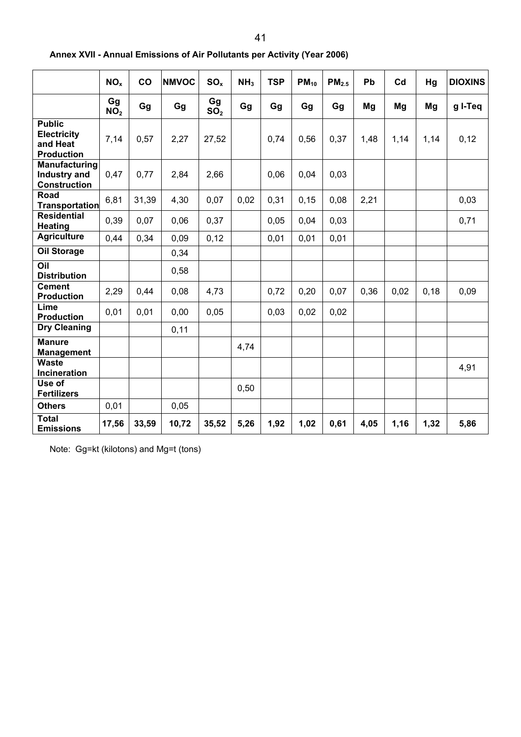|                                                                      | NO <sub>x</sub>       | co    | <b>NMVOC</b> | SO <sub>x</sub>       | NH <sub>3</sub> | <b>TSP</b> | $PM_{10}$ | PM <sub>2.5</sub> | Pb   | Cd   | Hg   | <b>DIOXINS</b> |
|----------------------------------------------------------------------|-----------------------|-------|--------------|-----------------------|-----------------|------------|-----------|-------------------|------|------|------|----------------|
|                                                                      | Gg<br>NO <sub>2</sub> | Gg    | Gg           | Gg<br>SO <sub>2</sub> | Gg              | Gg         | Gg        | Gg                | Mg   | Mg   | Mg   | g I-Teq        |
| <b>Public</b><br><b>Electricity</b><br>and Heat<br><b>Production</b> | 7,14                  | 0,57  | 2,27         | 27,52                 |                 | 0,74       | 0,56      | 0,37              | 1,48 | 1,14 | 1,14 | 0,12           |
| Manufacturing<br><b>Industry and</b><br><b>Construction</b>          | 0,47                  | 0,77  | 2,84         | 2,66                  |                 | 0,06       | 0,04      | 0,03              |      |      |      |                |
| Road<br><b>Transportation</b>                                        | 6,81                  | 31,39 | 4,30         | 0,07                  | 0,02            | 0,31       | 0, 15     | 0,08              | 2,21 |      |      | 0,03           |
| <b>Residential</b><br><b>Heating</b>                                 | 0,39                  | 0,07  | 0,06         | 0,37                  |                 | 0,05       | 0,04      | 0,03              |      |      |      | 0,71           |
| <b>Agriculture</b>                                                   | 0,44                  | 0,34  | 0,09         | 0,12                  |                 | 0,01       | 0,01      | 0,01              |      |      |      |                |
| <b>Oil Storage</b>                                                   |                       |       | 0,34         |                       |                 |            |           |                   |      |      |      |                |
| Oil<br><b>Distribution</b>                                           |                       |       | 0,58         |                       |                 |            |           |                   |      |      |      |                |
| <b>Cement</b><br><b>Production</b>                                   | 2,29                  | 0,44  | 0,08         | 4,73                  |                 | 0,72       | 0,20      | 0,07              | 0,36 | 0,02 | 0,18 | 0,09           |
| Lime<br><b>Production</b>                                            | 0,01                  | 0,01  | 0,00         | 0,05                  |                 | 0,03       | 0,02      | 0,02              |      |      |      |                |
| <b>Dry Cleaning</b>                                                  |                       |       | 0,11         |                       |                 |            |           |                   |      |      |      |                |
| <b>Manure</b><br><b>Management</b>                                   |                       |       |              |                       | 4,74            |            |           |                   |      |      |      |                |
| <b>Waste</b><br><b>Incineration</b>                                  |                       |       |              |                       |                 |            |           |                   |      |      |      | 4,91           |
| Use of<br><b>Fertilizers</b>                                         |                       |       |              |                       | 0,50            |            |           |                   |      |      |      |                |
| <b>Others</b>                                                        | 0,01                  |       | 0,05         |                       |                 |            |           |                   |      |      |      |                |
| <b>Total</b><br><b>Emissions</b>                                     | 17,56                 | 33,59 | 10,72        | 35,52                 | 5,26            | 1,92       | 1,02      | 0,61              | 4,05 | 1,16 | 1,32 | 5,86           |

**Annex XVII - Annual Emissions of Air Pollutants per Activity (Year 2006)** 

Note: Gg=kt (kilotons) and Mg=t (tons)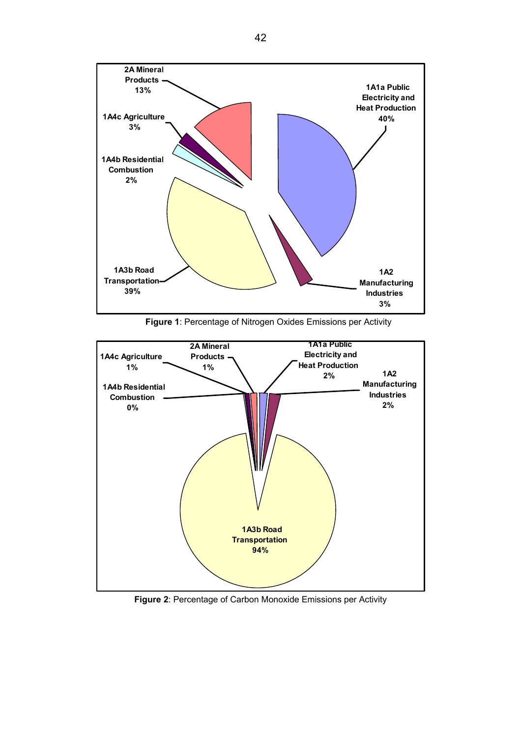

**Figure 1**: Percentage of Nitrogen Oxides Emissions per Activity



**Figure 2**: Percentage of Carbon Monoxide Emissions per Activity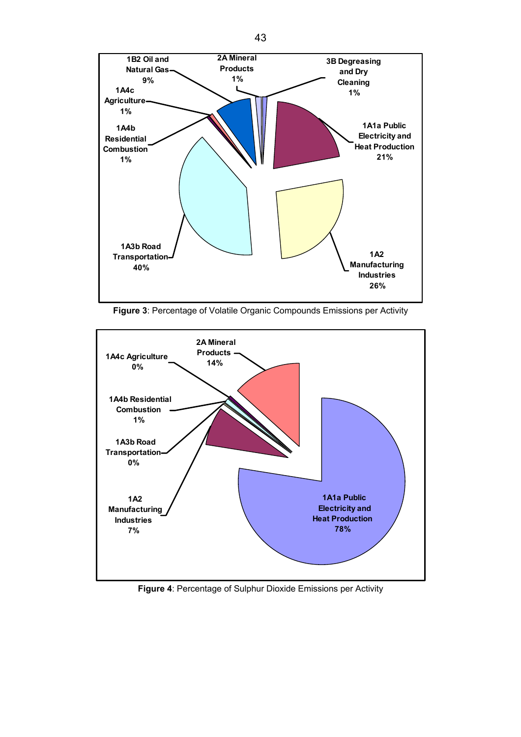

**Figure 3**: Percentage of Volatile Organic Compounds Emissions per Activity



**Figure 4**: Percentage of Sulphur Dioxide Emissions per Activity

43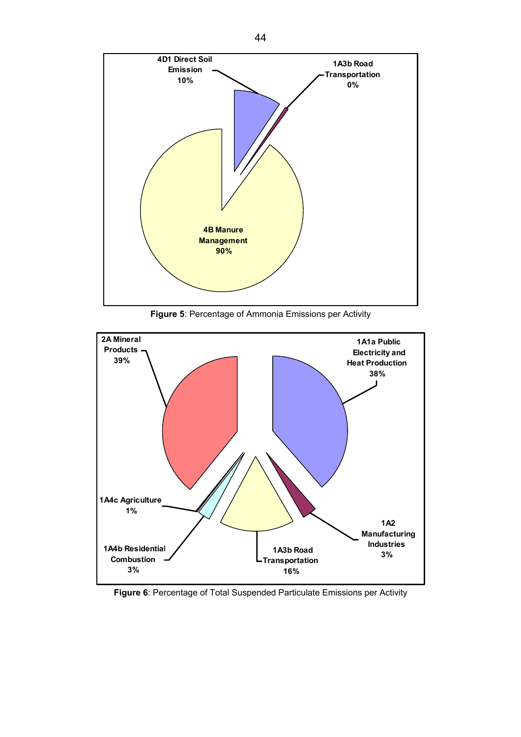

**Figure 5**: Percentage of Ammonia Emissions per Activity



**Figure 6**: Percentage of Total Suspended Particulate Emissions per Activity

44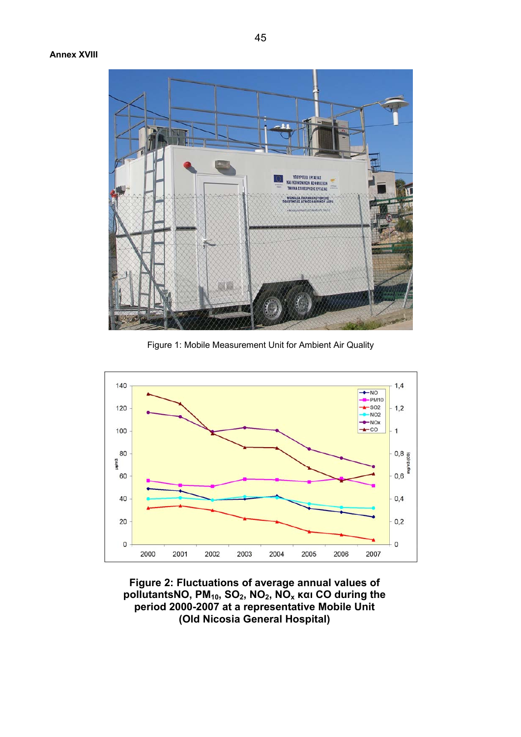## **Annex XVIII**



Figure 1: Mobile Measurement Unit for Ambient Air Quality



**Figure 2: Fluctuations of average annual values of pollutantsΝΟ, PΜ10, SO2, NO2, NOx και CO during the period 2000-2007 at a representative Mobile Unit (Old Nicosia General Hospital)**